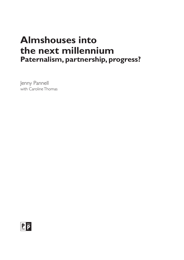# **Almshouses into the next millennium Paternalism, partnership, progress?**

Jenny Pannell with Caroline Thomas

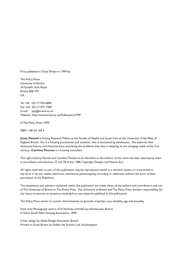First published in Great Britain in 1999 by

The Policy Press University of Bristol 34 Tyndall's Park Road Bristol BS8 1PY UK

Tel +44 (0)117 954 6800 Fax +44 (0)117 973 7308 E-mail tpp@bristol.ac.uk Website http://www.bristol.ac.uk/Publications/TPP

© The Policy Press 1999

ISBN 1 86134 164 4

**Jenny Pannell** is Visiting Research Fellow at the Faculty of Health and Social Care at the University of the West of England, Bristol. She is a housing practitioner and academic who is fascinated by almshouses. She explores their distinctive history and characterisitcs, examining the problems they face in adapting to the changing needs of the 21st century. **Caroline Thomas** is a housing consultant.

The right of Jenny Pannell and Caroline Thomas to be identified as the authors of this work has been asserted by them in accordance with Sections 77 and 78 of the 1988 Copyright, Designs and Patents Act.

All rights reserved: no part of this publication may be reproduced, stored in a retrieval system, or transmitted in any form or by any means, electronic, mechanical, photocopying, recording or otherwise without the prior written permission of the Publishers.

The statements and opinions contained within this publication are solely those of the authors and contributors and not of The University of Bristol or The Policy Press. The University of Bristol and The Policy Press disclaim responsibility for any injury to persons or property resulting from any material published in this publication.

The Policy Press works to counter discrimination on grounds of gender, race, disability, age and sexuality.

*Front cover*: Photograph used is of St Nicholas with Burton Almshouses, Bristol. © Solon South West Housing Association, 1999.

Cover design by Qube Design Associates, Bristol. Printed in Great Britain by Hobbs the Printers Ltd, Southampton.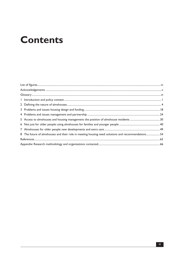# **Contents**

| 8 The future of almshouses and their role in meeting housing need: solutions and recommendations54 |  |
|----------------------------------------------------------------------------------------------------|--|
|                                                                                                    |  |
|                                                                                                    |  |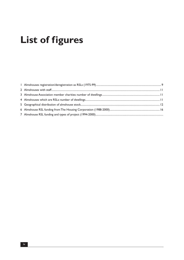# **List of figures**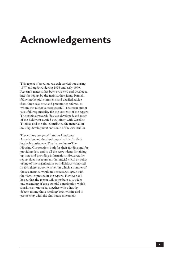# **Acknowledgements**

This report is based on research carried out during 1997 and updated during 1998 and early 1999. Research material has been reworked and developed into the report by the main author, Jenny Pannell, following helpful comments and detailed advice from three academic and practitioner referees, to whom the author is most grateful. The main author takes full responsibility for the contents of the report. The original research idea was developed, and much of the fieldwork carried out, jointly with Caroline Thomas, and she also contributed the material on housing development and some of the case studies.

The authors are grateful to the Almshouse Association and the almshouse charities for their invaluable assistance. Thanks are due to The Housing Corporation, both for their funding and for providing data, and to all the respondents for giving up time and providing information. However, the report does not represent the official views or policy of any of the organisations or individuals contacted. In fact, there are some issues on which a number of those contacted would not necessarily agree with the views expressed in the report. However, it is hoped that the report will contribute to a wider understanding of the potential contribution which almshouses can make, together with a healthy debate among those working both within, and in partnership with, the almshouse movement.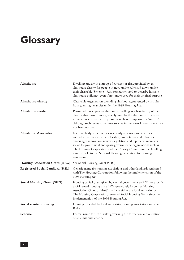# **Glossary**

| Almshouse                              | Dwelling, usually in a group of cottages or flats, provided by an<br>almshouse charity for people in need under rules laid down under<br>their charitable 'Scheme'. Also sometimes used to describe historic<br>almshouse buildings, even if no longer used for their original purpose.                                                                                                                                           |
|----------------------------------------|-----------------------------------------------------------------------------------------------------------------------------------------------------------------------------------------------------------------------------------------------------------------------------------------------------------------------------------------------------------------------------------------------------------------------------------|
| Almshouse charity                      | Charitable organisation providing almshouses, prevented by its rules<br>from granting tenancies under the 1985 Housing Act.                                                                                                                                                                                                                                                                                                       |
| Almshouse resident                     | Person who occupies an almshouse dwelling as a beneficiary of the<br>charity; this term is now generally used by the almshouse movement<br>in preference to archaic expressions such as 'almsperson' or 'inmate',<br>although such terms sometimes survive in the formal rules if they have<br>not been updated.                                                                                                                  |
| <b>Almshouse Association</b>           | National body which represents nearly all almshouse charities,<br>and which advises member charities, promotes new almshouses,<br>encourages renovation, reviews legislation and represents members'<br>views to government and quasi-governmental organisations such as<br>The Housing Corporation and the Charity Commission (ie, fulfilling<br>a similar role to the National Housing Federation for housing<br>associations). |
| <b>Housing Association Grant (HAG)</b> | See Social Housing Grant (SHG).                                                                                                                                                                                                                                                                                                                                                                                                   |
| Registered Social Landlord (RSL)       | Generic name for housing associations and other landlords registered<br>with The Housing Corporation following the implementation of the<br>1996 Housing Act.                                                                                                                                                                                                                                                                     |
| <b>Social Housing Grant (SHG)</b>      | Housing capital grant given by central government to RSLs to provide<br>social rented housing since 1974 (previously known as Housing<br>Association Grant or HAG), paid via either the local authority or<br>The Housing Corporation; renamed Social Housing Grant since the<br>implementation of the 1996 Housing Act.                                                                                                          |
| Social (rented) housing                | Housing provided by local authorities, housing associations or other<br>RSLs.                                                                                                                                                                                                                                                                                                                                                     |
| Scheme                                 | Formal name for set of rules governing the formation and operation<br>of an almshouse charity.                                                                                                                                                                                                                                                                                                                                    |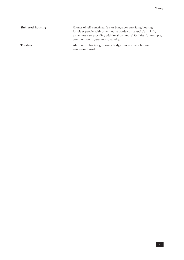| Sheltered housing | Groups of self-contained flats or bungalows providing housing<br>for older people, with or without a warden or central alarm link,<br>sometimes also providing additional communal facilities, for example,<br>common room, guest room, laundry. |
|-------------------|--------------------------------------------------------------------------------------------------------------------------------------------------------------------------------------------------------------------------------------------------|
| <b>Trustees</b>   | Almshouse charity's governing body, equivalent to a housing<br>association board.                                                                                                                                                                |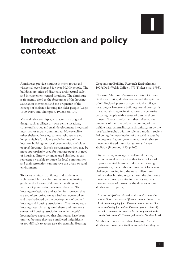**1**

# **Introduction and policy context**

Almshouses provide housing in cities, towns and villages all over England for over 30,000 people. The buildings are often of distinctive architectural styles and in convenient central locations. The almshouse is frequently cited as the forerunner of the housing association movement and the originator of the concept of sheltered housing for older people (Cope, 1990; Parry and Thompson, 1993; Best, 1997).

Many almshouses display characteristics of good design, such as village or town centre locations, courtyard layouts, and small developments integrated into rural or urban communities. However, like other sheltered housing, some almshouses are no longer suitable for older people because of their location, buildings, or local over-provision of older people's housing. In such circumstances they may be more appropriately used for younger people in need of housing. Empty or under-used almshouses can represent a valuable resource for local communities, and their restoration can improve the urban or rural environment.

To lovers of historic buildings and students of architectural history, almshouses are a fascinating guide to the history of domestic buildings and worthy of preservation, whatever the cost. To housing professionals and academics, however, they are too often looked on as a backwater, overtaken and overshadowed by the development of council housing and housing associations. Over many years, housing research has ignored them, and numerous surveys of housing association or older people's housing have explained that almshouses have been omitted because they are considered insignificant or too difficult to access (see, for example, Housing

Corporation/Building Research Establishment, 1979; DoE/Welsh Office, 1979; Tinker et al, 1995).

The word 'almshouse' evokes a variety of images. To the romantics, almshouses seemed the epitome of old England: pretty cottages in idyllic village locations, or handsome buildings round courtyards in cathedral cities, maintained over the centuries by caring people with a sense of duty to those in need. To social reformers, they reflected the problems of the days before the coming of the welfare state: paternalistic, anachronistic, run by the local 'squirearchy', with no role in a modern society. Following the introduction of the welfare state by the post-war Labour government, the almshouse movement feared municipalisation and even abolition (Howson, 1993, p 165).

Fifty years on, in an age of welfare pluralism, they offer an alternative to other forms of social or private rented housing. Like other housing organisations, the almshouse movement faces new challenges moving into the next millennium. Unlike other housing organisations, the almshouse movement already carries in its ethos nearly a thousand years of history: as the director of one almshouse trust put it,

*"... a sort of spiritual role and service, centred round a special place ... we have a fifteenth century chapel.... The Trust has been going for a thousand years, and we plan to be continuing for another thousand years.... Recently we held a seminar for trustees for the way ahead in the twenty first century." (Director, Gloucester Charities Trust)*

Almshouse residents are also changing. As the almshouse movement itself acknowledges, they will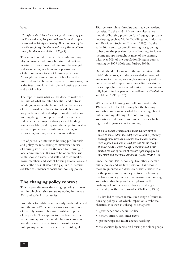have:

*"... higher expectations than their predecessors, enjoy a better standard of living and will look for modern, spacious and well-designed housing. These are some of the challenges facing charities today." (Lady Benson, Chairman, Almshouse Association, 1998, p 1)*

This report considers what role almshouses may play in current and future housing and welfare provision. It examines and discusses the strengths and weaknesses, problems and opportunities of almshouses as a form of housing provision. Although there are a number of books on the historical and architectural aspects of almshouses, this is the first to explore their role in housing provision and social policy.

The report shows what can be done to make the best use of what are often beautiful and historic buildings, in ways which both follow the wishes of the original benefactors to provide housing for people in need, and adapt to modern ideas on housing design, development and management. It describes the range of strategies and funding sources available, and explores the scope for creative partnerships between almshouse charities, local authorities, housing associations and others.

It is of particular interest to housing professionals and policy makers seeking to maximise the use of housing stock to meet the need for housing in local communities. It aims to be of practical use to almshouse trustees and staff, and to councillors, board members and staff of housing associations and local authorities. It also fills a gap in the material available to students of social and housing policy.

## **The changing policy context**

This chapter discusses the changing policy context within which almshouses are operating in the late 20th and early 21st centuries.

From their foundations in the early medieval period until the mid-19th century, almshouses were one of the only forms of housing available to poor older people. They appear to have been regarded as the most appropriate model by a succession of founders over many centuries: monasteries and bishops, royalty and aristocracy, mercantile guilds,

19th-century philanthropists and trade benevolent societies. By the mid-19th century, alternative models of housing provision for all age groups were developing, such as Model Dwellings and Industrial and Provident Societies (Burnett, 1986). By the early 20th century, council housing was growing, to become the prevalent form of housing for lower income groups throughout most of the century, with over 30% of the population living in council housing by 1979 (Cole and Furbey, 1994).

Despite the development of the welfare state in the mid-20th century, and the acknowledged need of everyone for shelter, housing has never enjoyed the same degree of support for universalist provision as, for example, healthcare or education. It was "never fully legitimised as part of the welfare state" (Mullins and Niner, 1997, p 175).

While council housing was still dominant in the 1970s, after the 1974 Housing Act the housing association movement started to receive significant public funding, although for both housing associations and those almshouse charities which registered to gain access to funding,

*The introduction of large-scale public subsidy compromised to some extent the independence of the [voluntary housing] movement, as inevitable bureaucratic controls were imposed in a kind of quid pro quo for the receipt of public funds ... which brought expansion, but it also marked the end of an era of reliance upon largely voluntary effort and charitable donations. (Cope, 1990, p 12)*

Since the mid-1980s, housing, like other aspects of public policy and welfare provision, has become more fragmented and diversified, with a wider role for the private and voluntary sectors. In housing this has meant a growth in the provision of housing association dwellings and an emphasis on the enabling role of the local authority, working in partnership with other providers (Williams, 1997).

This has led to recent interest in a range of issues in housing policy, all of which impact on almshouse charities, as is seen in subsequent chapters:

- • governance and accountability
- tenant/citizen/consumer rights
- partnerships and multi-agency working.

More specifically, debate on housing for older people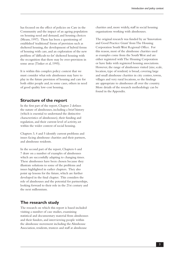has focused on the effect of policies on Care in the Community and the impact of an ageing population on housing need and demand, and housing choices (Means, 1997). There has been a questioning of established 'traditional' forms of provision such as sheltered housing, the development of hybrid forms of housing with care, and an exploration of the new problem of 'difficult-to-let' sheltered housing with the recognition that there may be over-provision in some areas (Tinker et al, 1995).

It is within this complex policy context that we must consider what role almshouses may have to play in the future provision of housing and care for both older people and, in some cases, others in need of good quality low-cost housing.

# **Structure of the report**

In the first part of the report, Chapter 2 defines the nature of almshouses, including a brief history (which is essential to understand the distinctive characteristics of almshouses), their funding and regulation, and their current level of activity, set within the wider context of social housing.

Chapters 3, 4 and 5 identify current problems and issues facing almshouse charities and their partners, and almshouse residents.

In the second part of the report, Chapters 6 and 7 draw on a number of examples of almshouses which are successfully adapting to changing times. These almshouses have been chosen because they illustrate solutions to some of the problems and issues highlighted in earlier chapters. They also point up lessons for the future, which are further developed in the final chapter. This considers the role of almshouses and the potential for partnerships, looking forward to their role in the 21st century and the next millennium.

# **The research study**

The research on which this report is based included visiting a number of case studies, examining statistical and documentary material from almshouses and their funders, and interviewing people within the almshouse movement including the Almshouse Association, residents, trustees and staff at almshouse

charities and, more widely, staff in social housing organisations working with almshouses.

The original research was funded by an 'Innovation and Good Practice Grant' from The Housing Corporation South West Regional Office. For this reason, most of the almshouse charities used as examples come from the South West and are either registered with The Housing Corporation or have links with registered housing associations. However, the range of almshouses visited (size, scale, location, type of resident) is broad, covering large and small almshouse charities in city centres, towns, villages and very rural locations, so the findings are appropriate to almshouses all over the country. More details of the research methodology can be found in the Appendix.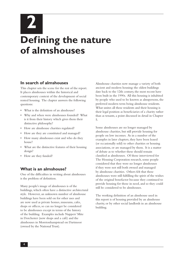# **2 Defining the nature of almshouses**

## **In search of almshouses**

This chapter sets the scene for the rest of the report. It places almshouses within the historical and contemporary context of the development of social rented housing. The chapter answers the following questions:

- What is the definition of an almshouse?
- • Why and when were almshouses founded? What is it from their history which gives them their distinctive philosophy?
- • How are almshouse charities regulated?
- How are they are constituted and managed?
- • How many almshouses exist and who do they house?
- What are the distinctive features of their housing design?
- How are they funded?

## **What is an almshouse?**

One of the difficulties in writing about almshouses is the problem of definition.

Many people's image of almshouses is of the buildings, which often have a distinctive architectural style. However, an unknown number of almshouse buildings have been sold on for other uses and are now used as private homes, museums, cafes, shops or offices, so can no longer be considered to be almshouses except in terms of the history of the building. Examples include Nappers' Mite in Dorchester (now shops and a café) and the almshouses in Moretonhampstead on Dartmoor (owned by the National Trust).

Almshouse charities now manage a variety of both ancient and modern housing: the oldest buildings date back to the 12th century, the most recent have been built in the 1990s. All this housing is inhabited by people who used to be known as almspersons, the preferred modern term being almshouse residents. What unites all these residents and their housing is their legal position as beneficiaries of a charity rather than as tenants, a point discussed in detail in Chapter 5.

Some almshouses are no longer managed by almshouse charities, but still provide housing for people on low incomes. As in a number of the examples in later chapters, they have been leased (or occasionally sold) to other charities or housing associations, or are managed by them. It is a matter of debate as to whether these should remain classified as almshouses. Of those interviewed for The Housing Corporation research, some people considered that they were no longer almshouses if they were not still both owned and managed by almshouse charities. Others felt that these almshouses were still fulfilling the spirit of the wishes of the original benefactor because they continued to provide housing for those in need, and so they could still be considered to be almshouses.

The working definition of an almshouse used in this report is of housing provided by an almshouse charity, or by other social landlords in an almshouse building.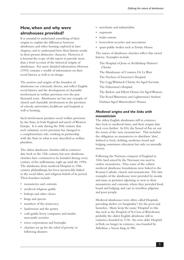# **How, when and why were almshouses provided?**

It is essential to understand something of their origins to explain the differences between almshouses and other housing explored in later chapters, and to understand how their history results in their present distinctive character. However, it is beyond the scope of this report to provide more than a brief account of the historical origins of almshouses. For more detailed information, Howson (1993) contains a wealth of information on their social history, as well as on design.

The motives and origins of the founders of almshouses are extremely diverse, and reflect English social history and the development of charitable involvement in welfare provision over the past thousand years. Almshouses are but one example of church and charitable involvement in the provision of schools, universities, healthcare and hospitals as well as housing.

Such involvement predates social welfare provision by the State, in both England and much of Western Europe. It is only during the 20th century that such voluntary sector provision has changed to a complementary role, working in partnership with the State in what is now described as welfare pluralism.

The oldest almshouse charities still in existence date back to the 12th century, but new almshouse charities have continued to be founded during every century of the millennium, right up until the 1990s. The almshouse, from medieval Hospital to 19thcentury philanthropy, has been inextricably linked to the social fabric and religious beliefs of its period. Their founders include:

- monasteries and convents
- medieval religious guilds
- bishops and other clerics
- kings and queens
- members of the aristocracy
- landowners and the gentry
- • craft guilds, livery companies and similar mercantile societies
- • town corporations and boroughs
- • charities set up for the relief of poverty or following disasters
- merchants and industrialists
- regiments
- trades unions
- benevolent societies and associations
- quasi-public bodies such as Trinity House.

The names of almshouse charities reflect this varied history. Examples include:

The Hospital of Jesus or Archbishop Hutton's Charity

The Almshouses of Countess De La Warr

The Duchess of Somerset's Hospital

The Legg Whittuck Charity for Aged Servants

The Fishermen's Hospital

- The Barlow and Ellyett Homes for Aged Women
- The Royal Watermen and Lightermen's Asylum
- Durham Aged Mineworkers' Homes

#### *Medieval origins and the links with monasticism*

The oldest English almshouses still in existence date back to medieval times, and their origins date back even further. In 816, the Synod of Aix set out the tenets of the 'new monasticism'. This included the obligation on monasteries to distribute 'alms', defined as food, clothing, medicine, board and lodging, sometimes education but only occasionally money.

Following the Norman conquest of England in 1066, land seized by the Normans was used to endow monasteries. Thus some of the earliest medieval almshouse foundations were linked to the Roman Catholic church and monasticism. The first examples of the almshouse were provided by monks and nuns, in premises adjoining or near to their monasteries and convents, where they provided food, board and lodging, and care to travellers, pilgrims and poor people.

Medieval almshouses were often called Hospitals, providing shelter (or 'hospitality') for the poor and homeless. Many keep the name 'Hospital' to this day, such as the Hospital of St Cross at Winchester, probably the oldest English almshouse still in existence, founded in 1136. An even older Hospital in York, no longer in existence, was founded by Athelstan, a Saxon king, in 986.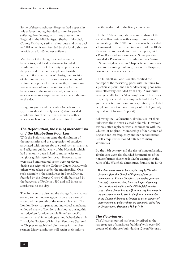Some of these almshouse-Hospitals had a specialist role as lazer-houses, founded to care for people suffering from leprosy, which was prevalent in England in the Middle Ages. Sherburn Hospital, County Durham, is still an almshouse and dates back to 1181 when it was founded by the local bishop to provide care for 65 leprosy sufferers.

Members of the clergy, royal and aristocratic benefactors, and local landowners founded almshouses as part of their duty to provide for the poor and to set an example in charitable works. Like other works of charity, the provision of almshouses by such patrons was something of an insurance policy for the after-life, so almshouse residents were often expected to pray for their benefactors in the on-site chapel; attendance at services remains a requirement in some almshouses to this day.

Religious guilds and fraternities (which were a type of medieval friendly society) also provided almshouses for their members, as well as other services such as burials and prayers for the dead.

#### *The Reformation, the rise of mercantilism and the Elizabethan Poor Law*

With the Reformation came the dissolution of the monasteries and the suppression of practices associated with prayers for the dead such as chantries and religious guilds. Many of the Hospitals which had previously been linked to monasteries or to religious guilds were destroyed. However, some were saved and restored: some were reprieved during the reign of the Catholic Queen Mary, while others were taken over by the municipality. One such example is the almshouses in Poole, Dorset, founded by the Corpus Christi Guild but saved by the burgesses of Poole in 1550 and still in use as almshouses to this day.

The 16th century also saw the change from medieval society to the modern age, with an expansion of trade, and the growth of the mercantile class. The London livery companies and individual merchants endowed many of London's almshouses during this period, often for older people linked to specific trades such as skinners, drapers, and haberdashers. In Bristol, the Society of Merchant Venturers (featured in Chapter 6) established almshouses for merchant seamen. Many almshouses still retain their links to

specific trades and to the livery companies.

The late 16th century also saw an overhaul of the social welfare system with a range of measures culminating in the 1601 Poor Law, which provided a framework that remained in force until the 1830s. Parishes had to provide for their own poor, with a Poor Rate and local overseers. Some parishes provided a Poor-house or almshouse (as at Yatton in Somerset, described in Chapter 6); in some cases these were existing buildings, previously Hospitals, now under new management.

The Elizabethan Poor Law also codified the concept of the 'deserving' poor, with their link to a particular parish, and the 'undeserving' poor who were effectively excluded from help. Almshouses were generally for the 'deserving' poor. Their rules frequently specified that almspeople had to be 'of good character', and some rules specifically excluded people in receipt of Poor Law parish relief (an early equivalent of Income Support).

Following the Reformation, almshouses lost their links with the Roman Catholic church. However, this was often replaced with a connection with the Church of England. Membership of the Church of England (or less frequently, another denomination) is still a requirement for admittance to many almshouses.

By the 18th century and the rise of nonconformity, almshouses were also founded for members of the nonconformist churches: look, for example, at the rules of the Wakefield almshouses, founded in 1840:

*The almshouses were to be occupied only by 'Christian dissenters from the Church of England, of any denomination but Roman Catholics' ... the twelve governors [trustees] ... were recruited from the largest dissenting churches situated within a mile of Wakefield's market cross ... those chosen had to affirm that they had never in the past been or would ever in the future be a member of the Church of England or 'profess or act in support of those opinions or politics which are commonly called Tory or Conservative'. (Howson, 1993, p 144)*

#### *The Victorian era*

The Victorian period has been described as 'the last great age of almshouse building' with over 600 groups of almshouses built during Queen Victoria's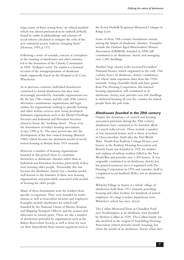reign, many of these arising from "an ethical standard which was almost puritanical in its outlook [which] found its outlet in philanthropy and schemes of social reform calculated to mitigate the evils of the new industrial society without changing them" (Howson, 1993, p 137).

Following a series of scandals, concern at corruption in the running of almshouses and other charities led to the formation of the Charity Commission in 1855. Trollope's novel *The warden* is a fictional account of the misappropriation of almshouse funds, supposedly based on the Hospital at St Cross, Winchester.

As in previous centuries, individual benefactors continued to found almshouses, but they were increasingly provided by charitable organisations too. By the late 19th century and the early 20th century, alternative constitutions, organisations and legal entities for organisations wishing to provide housing and other welfare services were being developed. Voluntary organisations such as the Model Dwellings Societies and Industrial and Provident Societies aimed to house the 'working classes'. These were the forerunners of today's housing associations (Cope, 1990, p 9). The same period also saw the development of the first council housing (Burnett, 1986), which became the dominant model of social rented housing in Britain from 1919 onwards.

However, a number of housing organisations founded in this period chose to constitute themselves as almshouse charities rather than as Industrial and Provident Societies, particularly if they were housing older people. Presumably this was because the almshouse charity was a familiar model, well known to the founders of these new housing organisations, and particularly associated with models of housing for older people.

Many of these foundations were for workers from specific occupations. They were founded by trades unions, as well as benevolent societies and employers. Examples include almshouses for retired staff founded by the National Union of Marine Aviation and Shipping Transport Officers, and for seamen and fishermen in various ports. There are also a number of almshouses provided by organisations such as the Bakers Benevolent Society, as well as those for men (or their dependents) from various regiments such as

the Royal Norfolk Regiment Memorial Cottages in Kings Lynn.

Some of these 19th-century foundations remain among the largest of almshouse charities. Examples include the Durham Aged Mineworkers' Homes Association (DAMHA), founded in 1898, still constituted as an almshouse charity and managing over 1,200 dwellings.

Another large charity is the Licensed Victuallers' National Homes, which originated in the early 19th century, hence its almshouse charity constitution, but whose main expansion dates from the 1950s onwards. Using charitable funds and, later, grants from The Housing Corporation, this national housing organisation, still constituted as an almshouse charity, now provides over 600 dwellings in sheltered housing all over the country for retired people from the pub trade.

#### *Almshouses founded in the 20th century*

Despite the dominance of council and housing association provision during the 20th century, almshouses have continued to be founded, albeit at a much reduced rate. These include a number of war memorial homes, such as those at Lydney in Gloucestershire (built after the First World War). North-East Railway Cottage Homes, now known as the Railway Housing Association and Benefit Fund, was founded in 1921 for widows and orphans of railway workers killed in the First World War and provides over 1,300 homes. It was originally constituted as an almshouse charity, but has granted tenancies since it registered with The Housing Corporation in 1976 and considers itself as a registered social landlord (RSL), not an almshouse charity.

Whiteley Village in Surrey is a whole village of almshouses built from 1911 onwards, providing housing and other facilities for hundreds of retired employees of a large London department store, Whiteley's, which has since closed.

The Collins Memorial Trust, at Chandlers Ford near Southampton, is an almshouse trust founded by Herbert Collins in 1939. The Collins family was also involved in the origins of Swaythling Housing Association (which provides family housing), but chose the model of an almshouse charity when they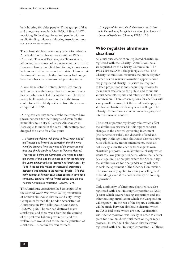built housing for older people. Three groups of flats and bungalows were built in 1939, 1959 and 1973, providing 50 dwellings for retired people with no public funding. Hanover Housing Association now act as corporate trustees.

There have also been some very recent foundations. A new almshouse charity was created in 1985 in Cornwall. This is at Tresillian, near Truro, where, following the tradition of landowners in the past, the Boscawen family has gifted land for eight almshouses to house retired workers on their estate. However, at the time of the research, the almshouses had not yet been built because of unresolved planning issues.

A local benefactor in Totnes, Devon, left money to found a new almshouse charity in memory of a brother who was killed during the war. The three newly built two-bedroom houses in the town centre for active elderly residents from the area were completed in 1996.

During this century, some almshouse trustees have shown concern for their image, and even for the name 'almshouse' itself. Penrose Almshouses in Barnstaple, founded in the early 17th century, even dropped the name for a few years:

*... a fascinating debate took place in 1942 when one of the Trustees put forward the suggestion that the word 'Alms' be dropped from the name of the properties and that they should simply be known as 'Penrose Houses'. This was put before the Committee who voted to adopt the change of title and the minute book for the following few years, dutifully refers to 'houses' not 'Almshouses'. By 1945/6 the old title makes an occasional, presumably accidental appearance in the records. By late 1946 this early attempt at Political correctness seems to have been completely dropped without formal debate and the title 'Penrose Almshouses' reinstated. (Savage, 1995)*

The Almshouse Association had its origins after the Second World War, when 37 representatives of London almshouse charities and City Livery Companies formed the London Association of Almshouses in 1946 (Almshouse Association, 1996/97, p 5). The war had destroyed many almshouses and there was a fear that the coming of the post-war Labour government and the welfare state would lead to the municipalisation of almshouses. A committee was formed:

*... to safeguard the interests of almshouses and to promote the welfare of beneficiaries in view of the proposed changes of legislation. (Howson, 1993, p 165)*

# **Who regulates almshouse charities?**

All almshouse charities are registered charities (ie, registered with the Charity Commission), so all are regulated by the Charity Commission. The 1993 Charities Act is the principal statute. The Charity Commission maintains the public register of charities on which information appears about every registered charity. Charities are required to keep proper books and accounting records, to make them available to the public, and to submit annual accounts, reports and returns to the Charity Commission. There are exceptions for charities with a very small turnover, but this would only apply to almshouse charities with very few dwellings. The Charity Commission also recommends appropriate internal financial controls.

The most important regulatory roles which affect the almshouses discussed in this report concern changes to the charity's governing instrument (the Scheme or rules), and disposals of land and property. Although some almshouse charities have rules which allow minor amendments, these do not usually allow the charity to change its own charitable purposes. So an almshouse charity which wants to allow younger residents, where the Scheme has an age limit, or couples where the Scheme says the almshouses are for one gender only, will have to seek the agreement of the Charity Commission. The same usually applies to leasing or selling land or buildings, even if to another charity or housing organisation.

Only a minority of almshouse charities have also registered with The Housing Corporation as RSLs (a term which covers housing associations and any other housing organisation which the Corporation will register). In the rest of the report, a distinction will be made between almshouse charities which are RSLs and those which are not. Registration with the Corporation was usually in order to attract grant for new-build, refurbishment or major repair projects. In 1997, 604 almshouse charities were registered with The Housing Corporation. Of these,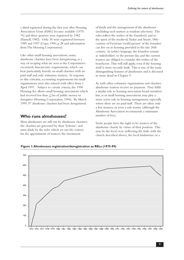a third registered during the first year after Housing Association Grant (HAG) became available (1975- 76) and three quarters were registered by 1982 (Pannell, 1982). Only 30 were registered between 1989 and 1997 (Cope, 1990, p 28 and information from The Housing Corporation).

Like other small housing associations, many almshouse charities have been deregistering, as a way of escaping what are seen as the Corporation's excessively bureaucratic requirements, which can bear particularly heavily on small charities with no paid staff and only voluntary trustees. In response to this criticism, accounting requirements for small organisations were also relaxed with effect from 1 April 1997. Subject to certain criteria, the 1996 Housing Act allows small housing associations which had received less than  $\mathcal{L}$ 1m of public money to deregister (Housing Corporation, 1996). By March 1999, 97 almshouse charities had been deregistered.

## **Who runs almshouses?**

Most almshouses are still run by almshouse charities; the charities are governed by their 'Scheme', and must abide by the rules which set out the criteria for the appointment of trustees, the investment

of funds and the management of the almshouse (including such matters as resident selection). The rules reflect the wishes of the founder(s) and so the spirit of the medieval, Tudor and Stuart, 18thcentury or Victorian 'world picture' of the founders can live on in housing provided in the late 20th century. In today's language, the founders remain as 'stakeholders' to the present day, and the current trustees are obliged to consider the wishes of the benefactor. This will still apply, even if the housing itself is more recently built. This is one of the main distinguishing features of almshouses and is discussed in more detail in Chapter 5.

As with other voluntary organisations and charities, almshouse trustees receive no payment. They fulfil a similar role to housing association board members but, as in small housing associations, may play a more active role in housing management, especially where there are no paid staff. There are often only a few trustees, or even a sole trustee (although the Almshouse Association recommends a minimum number of five).

Some people have the right to be trustees of the almshouse charity by virtue of their position. This may be the local vicar (reflecting the links with the church described above), the local landowner, or a



**Figure 1: Almshouses registration/deregistration as RSLs (1975-99)**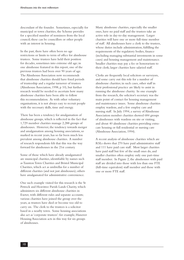descendant of the founder. Sometimes, especially for municipal or town charities, the Scheme provides for a specified number of nominees from the local council; these can be councillors or other people with an interest in housing.

In the past, there have often been no age restrictions or limits to term of office for almshouse trustees. Some trustees have held their position for decades, sometimes into extreme old age; in one almshouse featured in this report, one of the previous trustees had been over 90 years of age. The Almshouse Association now recommends that almshouse charities should have fixed periods of trusteeship and a regular turnover of trustees (Almshouse Association, 1998, p 10), but further research would be needed to ascertain how many almshouse charities have been able to follow this recommendation. As with other voluntary organisations, it is not always easy to recruit people with the necessary skills, time and energy.

There has been a tendency for amalgamation of almshouse groups, which is reflected in the fact that 1,729 member charities manage 2,288 groups of almshouses. However, the tendency towards merger and amalgamation among housing associations, so marked in recent years, has so far been much less prevalent among almshouse charities. A number of research respondents felt that this was the way forward for almshouses in the 21st century.

Some of those which have already amalgamated are municipal charities, identifiable by names such as Taunton Town Charities and Bristol Municipal Charities, which act as umbrellas for a number of different charities (and not just almshouses); others have amalgamated for administrative convenience.

One such example visited for this research is the St Petrock and Heavitree Parish Lands Charity, which administers six different almshouse charities in Exeter, with different rules and separate accounts; various charities have joined the group over the years, as trustees have died or become too old to carry on. The clerk to the trustees is a solicitor based in a nearby town. Some housing associations also act as 'corporate trustees': for example, Hanover Housing Association acts in this way for six groups of almshouses.

Many almshouse charities, especially the smaller ones, have no paid staff and the trustees take an active role in day-to-day management. Larger charities will have one or more full-time member of staff. All almshouses have a clerk to the trustees, whose duties include administration, fulfilling the requirements of the regulatory bodies, finance (including managing substantial investments in some cases) and housing management and maintenance. Smaller charities may pay a fee or honorarium to their clerk; larger charities have salaried staff.

Clerks are frequently local solicitors or surveyors, and some carry out this role for a number of almshouse charities; in such cases, other staff in their professional practice are likely to assist in running the almshouse charity. In one example from the research, the solicitor's secretary was the main point of contact for housing management and maintenance issues. Some almshouse charities employ wardens, and a few employ care and nursing staff. In July 1994, a survey of Almshouse Association member charities showed 684 groups of almshouses with wardens on site or visiting, and about 40 almshouse charities providing extracare housing or full residential or nursing care (Almshouse Association, 1994).

A recent analysis of almshouse charities which are RSLs shows that 270 have paid administrative staff and 111 have paid care staff. Most larger charities have paid staff but few of the small ones do, and smaller charities often employ only one part-time staff member. In Figure 2, the almshouses with paid staff are divided into those with less than one FTE (full-time equivalent) staff member and those with one or more FTE staff.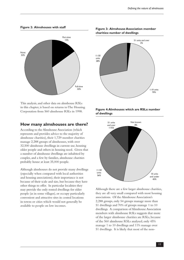None 53% Part-time 15% Full-time 32%

**Figure 2: Almshouses with staff**



#### **How many almshouses are there?**

According to the Almshouse Association (which represents and provides advice to the majority of almshouse charities), their 1,729 member charities manage 2,288 groups of almshouses, with over 32,500 almshouse dwellings in current use, housing older people and others in housing need. Given that a number of almshouse dwellings are inhabited by couples, and a few by families, almshouse charities probably house at least 35,000 people.

Although almshouses do not provide many dwellings (especially when compared with local authorities and housing associations), their importance is not because of their scale and size, but because they have other things to offer. In particular localities they may provide the only rented dwellings for older people (as in some villages), or occupy particularly convenient and attractive sites in central locations in towns or cities which would not generally be available to people on low incomes.

**Figure 3: Almshouse Association member charities: number of dwellings**



#### **Figure 4: Almhouses which are RSLs: number of dwellings**



Although there are a few larger almshouse charities, they are all very small compared with most housing associations. Of the Almshouse Association's 2,288 groups, only 54 groups manage more than 51 dwellings and 70% of groups manage 1 to 10 dwellings. A comparison of Almshouse Association members with almshouse RSLs suggests that more of the larger almshouse charities are RSLs, because of the 560 almshouse RSLs analysed, only 45% manage 1 to 10 dwellings and 11% manage over 51 dwellings. It is likely that most of the non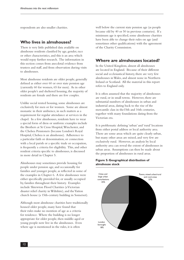respondents are also smaller charities.

#### **Who lives in almshouses?**

There is very little published data available on almshouse residents classified by age, gender, race or other characteristics, and this is an area which would repay further research. The information in this section comes from anecdotal evidence from trustees and staff, and from observation during visits to almshouses.

Most almshouse residents are older people, generally defined as either over 60 or over state pension age (currently 60 for women, 65 for men). As in other older people's and sheltered housing, the majority of residents are female and there are few couples.

Unlike social rented housing, some almshouses are exclusively for men or for women. Some are almost monastic in their ambience, in such matters as a requirement for regular attendance at services in the chapel. In a few almshouses, residents have to wear a special form of dress or uniform: examples include the Brothers at St Cross Hospital, Winchester, and the Chelsea Pensioners (because London's Royal Hospital, Chelsea is an almshouse). Adherence to a particular faith or denomination, or connection with a local parish or a specific trade or occupation, is frequently a criteria for eligibility. This, and other resident criteria specific to almshouses, is discussed in more detail in Chapter 5.

Almshouses may sometimes provide housing for people under pension age, and occasionally for families and younger people, as reflected in some of the examples in Chapter 6. A few almshouses were either specifically provided for, or usually occupied by, families throughout their history. Examples include Shrewton Flood Charities (a Victorian disaster relief charity in Wiltshire), and the Yatton church house (a 15th-century building in Somerset).

Although most almshouse charities have traditionally housed older people, many have found that their rules make no mention of age as a criteria for residence. Where the building is no longer appropriate for older people, then middle-aged or young people now live in the almshouses. Even where age is mentioned in the rules, it is often

well below the current state pension age (as people became old by 40 or 50 in previous centuries). If a minimum age is specified, some almshouse charities have been able to change their rules on age (and sometimes other qualifications) with the agreement of the Charity Commission.

## **Where are almshouses located?**

In the United Kingdom, almost all almshouses are located in England. Because of their different social and ecclesiastical history, there are very few almshouses in Wales, and almost none in Northern Ireland or Scotland. All the material in this report refers to England only.

It is often assumed that the majority of almshouses are rural, or in small towns. However, there are substantial numbers of almshouses in urban and industrial areas, dating back to the rise of the mercantile class in the15th and 16th centuries, together with many foundations dating from the Victorian era.

It is problematic defining 'urban' and 'rural' locations from either postal address or local authority area. There are some areas which are quite clearly urban, but many other areas are mixed, and very few are exclusively rural. However, an analysis by local authority area can reveal the extent of almshouses in urban areas. Assumptions can then be made about the proportion of almshouses in rural areas.

#### **Figure 5: Geographical distribution of almshouse stock**

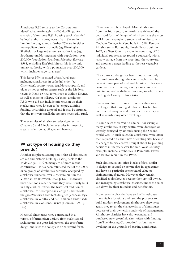Almshouse RSL returns to the Corporation identified approximately 14,000 dwellings. An analysis of almshouse RSL housing stock, classified by local authority area, reveals that 18% are in London boroughs, and a further 25% are in either metropolitan district councils (eg, Birmingham, Sheffield) or large urban unitary authorities (eg, Southampton, Nottingham) with populations over 200,000 (population data from *Municipal Yearbook 1998*, excluding East Yorkshire as this is the only unitary authority with a population over 200,000 which includes large rural areas).

This leaves 57% in mixed urban/rural areas, including almshouses in cathedral cities (eg, Chichester), county towns (eg, Northampton), and older or newer urban centres such as the Medway towns in Kent, or new towns such as Milton Keynes, as well as those in villages. Of those almshouse RSLs who did not include information on their stock, some were known to be empty, awaiting funding, or awaiting disposal and it may be assumed that the rest were small, though not necessarily rural.

The examples of almshouse redevelopment in Chapters 6 and 7 includes examples in inner-city areas, smaller towns, villages and hamlets.

# **What type of housing do they provide?**

Another misplaced assumption is that all almshouses are old and historic buildings, dating back to the Middle Ages. In fact, many are of more recent construction. It has been estimated that of the 2,000 or so groups of almshouses currently occupied by almshouse residents, over 30% were built in the Victorian era (Howson, 1993, p 137). However, they often look older because they were usually built in a style which reflects the historical tradition of almshouses: for example, Sir George Gilbert Scott, the great Victorian architect, designed Jacobean-style almshouses in Whitby, and half-timbered Tudor-style almshouses in Godstone, Surrey (Howson, 1993, p 147).

Medieval almshouses were constructed in a variety of forms, often derived from ecclesiastical architecture: the great hall pattern, the cruciform design, and later the collegiate or courtyard form. There was usually a chapel. Most almshouses from the 16th century onwards have followed the courtyard form of design, of which perhaps the most well-known example to students of architecture is Cobham College, in Kent, built in 1598. Penrose Almshouses in Barnstaple, North Devon, built in 1627, is a West Country example, consisting of 20 individual properties set round a courtyard, with a narrow passage from the street into the courtyard and another passage leading to the rear vegetable gardens.

This courtyard design has been adopted not only for almshouses through the centuries, but also by current developers of sheltered housing. It has even been used as a marketing tool by one company building upmarket sheltered housing for sale, namely the English Courtyard Association.

One reason for the number of newer almshouse dwellings is that existing almshouse charities have constructed many new almshouses this century, as well as refurbishing older dwellings.

In some cases there was no choice. For example, many almshouses in city centres were destroyed or severely damaged by air raids during the Second World War. In such cases, the almshouses were often then replaced on either new or existing sites because of changes to city centres brought about by planning decisions in the years after the war. West Country examples include almshouses in Plymouth, Exeter and Bristol, rebuilt in the 1950s.

Such almshouses are often blocks of flats, similar in design to council or private flats in appearance, and have no particular architectural value or distinguishing features. However, they remain classified as almshouses because they are still owned and managed by almshouse charities, under the rules laid down by their founders and benefactors.

More recently, charities have sold off almshouses in unsuitable locations and used the proceeds to build modern replacement almshouses elsewhere: again, they retain the characteristics of almshouses because of their ownership and style of management. Almshouse charities have also expanded and purchased new greenfield sites (often with funding from The Housing Corporation), or built new dwellings in the grounds of existing almshouses.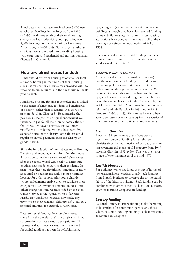Almshouse charities have provided over 3,000 new almshouse dwellings in the 10 years from 1986 to 1996, nearly one tenth of their total housing stock, as well as modernising and upgrading over 5,000 dwellings in the same period (Almshouse Association, 1996/97, p 4). Some larger almshouse charities have also moved into providing housing with extra care and residential and nursing homes, as discussed in Chapter 7.

# **How are almshouses funded?**

Almshouses differ from housing association or local authority housing in that much of their housing stock has existed for centuries, was provided with no recourse to public funds, and the almshouse residents paid no rent.

Almshouse revenue funding is complex and is linked to the status of almshouse residents as beneficiaries of a charity rather than as tenants. It is discussed in more detail in Chapter 5. To summarise the position, in the past, the original endowment was intended to pay for all the running costs, although for less well-endowed charities this was often insufficient. Almshouse residents lived rent-free, as beneficiaries of the charity; some also received regular or annual payments from the charity, or goods in kind.

Since the introduction of rent rebates (now Housing Benefit), and encouragement from the Almshouse Association to modernise and rebuild almshouses after the Second World War, nearly all almshouse charities have made charges to their residents. In many cases these are significant, sometimes as much as council or housing association rents on similar housing for older people. Almshouse charities whose endowments enable them to subsidise these charges may use investment income to do so, but others charge the sum recommended by the Rent Officer service as the equivalent to a 'fair rent'. Hardly any almshouse charities now make any payments to their residents, although a few still give nominal amounts, for example at Christmas.

Because capital funding for most almshouses came from the benefactor(s), the original land and construction cost has already been paid for. This has meant that in recent years, their main need for capital funding has been for refurbishment,

upgrading and (sometimes) conversion of existing buildings, although they have also received funding for new-build housing. In contrast, most housing associations have bought or built nearly all of their housing stock since the introduction of HAG in 1974.

Traditionally, almshouse capital funding has come from a number of sources, the limitations of which are discussed in Chapter 3.

#### *Charities' own resources*

Money provided by the original benefactor(s) was the main source of funding for building and maintaining almshouses until the availability of public funding during the second half of the 20th century. Some almshouses have been modernised, upgraded or even rebuilt during their long history, using their own charitable funds. For example, the St Martin in the Fields Almshouses in London were relocated and rebuilt twice, in 1681 and in 1818 (Howson, 1993, p 144). Almshouses have also been able to sell assets or raise loans against the security of their property in order to finance improvements.

#### *Local authorities*

Repair and improvement grants have been a significant source of funding for almshouse charities since the introduction of various grants for improvement and repair of old property from 1949 onwards (Balchin, 1995, p 59). This was the major source of external grant until the mid-1970s.

#### *English Heritage*

For buildings which are listed as being of historical interest, almshouse charities usually seek funding from English Heritage to preserve the architectural fabric of the historic building. Such funding can be combined with other sources such as local authority grant or Housing Corporation funding.

#### *Lottery funding*

National Lottery Heritage funding is also beginning to be available for almshouses, particularly those which have non-housing buildings such as museums, as featured in Chapter 6.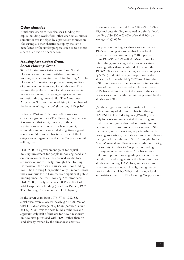#### *Other charities*

Almshouse charities may also seek funding for capital building works from other charitable sources; sometimes this is helped by a particular connection (for example, other charities set up by the same benefactor or for similar purposes such as to benefit a particular trade or occupation).

#### *Housing Association Grant/ Social Housing Grant*

Since Housing Association Grant (now Social Housing Grant) became available to registered housing associations after the 1974 Housing Act, The Housing Corporation has provided many millions of pounds of public money for almshouses. This became the preferred route for almshouses seeking modernisation and, increasingly, replacement or expansion through new-build. The Almshouse Association "lost no time in advising its members of the benefits of registration" (Howson, 1993, p 166).

Between 1974 and 1997, over 600 almshouse charities registered with The Housing Corporation; it is assumed that most, if not all, of these registrations were in order to obtain a grant, although some never succeeded in getting a grant allocation. Almshouse charities are one of the few categories of organisation that the Corporation will still register.

HAG/SHG is a government grant for capital housing investment for people in housing need and on low incomes. It can be accessed via the local authority or, more usually, through The Housing Corporation: the data in this section is for funding from The Housing Corporation only. Records show that almshouse RSLs have received significant public funding since the 1974 Housing Act introduced HAG/SHG, usually at between 0.4% to 0.5% of total Corporation funding (data from Pannell, 1982, The Housing Corporation and DoE figures).

In the seven years from 1976-77 to 1982-83, almshouses were allocated nearly  $\angle 34$ m (0.49% of total HAG), an average of  $\text{\textsterling}4.85m$  per year. Over half  $(\text{\textsterling},18.6m)$  was for new-build almshouses and approximately half of this was for new almshouses on new sites purchased with HAG, rather than on land already owned by the almshouse charities.

In the seven-year period from 1988-89 to 1994- 95, almshouse funding remained at a similar level, totalling  $\zeta$ ,46.435m (0.43% of total HAG), an average of  $\sqrt{2.6633}$ m.

Corporation funding for almshouses in the late 1990s is running at a somewhat lower level than earlier years, averaging only  $\sqrt{2.48m}$  per year from 1995-96 to 1999-2000. Most is now for refurbishing, improving and repairing existing housing rather than new-build. However, the 1999-2000 allocation is the highest in recent years  $(\text{\textsterling}3.65m)$  and with a larger proportion of the allocation for new-build  $(\text{\textsterling}2.623m)$ . Like other RSLs, almshouse charities are now having to raise more of the finance themselves. In recent years, SHG has met less than half the costs of the capital works carried out, with the rest being raised by the almshouse RSLs.

(All these figures are underestimates of the total public funding of almshouse charities through HAG/SHG. The older figures (1976-83) were only forecasts and understated the actual grant paid. Recent figures also underestimate funding, because where almshouse charities are not RSLs themselves, and are working in partnership with housing associations, their allocations do not show in the figures for almshouse RSLs. Although Durham Aged Mineworkers' Homes is an almshouse charity, it is so untypical that its Corporation funding is always recorded separately. As it has received millions of pounds for upgrading stock in the last decade, to avoid exaggerating the figures for overall almshouse funding, DAMHA grant allocations have also been excluded. Finally, the figures do not include any HAG/SHG paid through local authorities rather than The Housing Corporation.)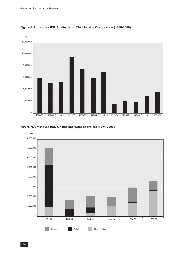





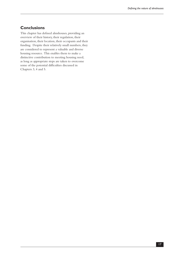# **Conclusions**

This chapter has defined almshouses, providing an overview of their history, their regulation, their organisation, their location, their occupants and their funding. Despite their relatively small numbers, they are considered to represent a valuable and diverse housing resource. This enables them to make a distinctive contribution to meeting housing need, as long as appropriate steps are taken to overcome some of the potential difficulties discussed in Chapters 3, 4 and 5.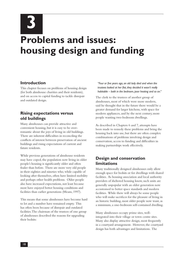**3**

# **Problems and issues: housing design and funding**

## **Introduction**

This chapter focuses on problems of housing design (for both almshouse charities and their residents), and on access to capital funding to tackle disrepair and outdated design.

# **Rising expectations versus old buildings**

Many almshouses can provide attractive and convenient housing, but it is easy to be overromantic about the joys of living in old buildings. There are inherent difficulties in reconciling the conflicts of interest between preservation of ancient buildings and rising expectations of current and future residents.

While previous generations of almshouse residents may have coped, the population now living in older people's housing is significantly older and often frailer than before. There are more very old people in their eighties and nineties who, while capable of looking after themselves, often have limited mobility and perhaps other health problems. Older people also have increased expectations, not least because most have enjoyed better housing conditions and facilities than earlier generations (Means, 1997).

This means that some almshouses have become hard to let and a number have remained empty. This has often been because of disrepair and outdated facilities. The chairman of the trustees of one group of almshouses described the reasons for upgrading their bedsits:

*"Four or five years ago, an old lady died and when the trustees looked at her flat, they decided it wasn't really habitable – bath in the bedroom, poor heating and so on."*

The clerk to the trustees of another group of almshouses, most of which were more modern, said he thought that in the future there would be a greater demand for larger kitchens, with space for modern appliances, and by the next century, more people wanting two-bedroom dwellings.

As described in Chapters 6 and 7, attempts have been made to remedy these problems and bring the housing back into use, but there are often complex combinations of problems involving design and conservation, access to funding and difficulties in making partnerships work effectively.

# **Design and conservation limitations**

Many traditionally designed almshouses only allow enough space for bedsits or for dwellings with shared facilities. As housing association and local authority providers of sheltered housing know, such units are generally unpopular with an older generation now accustomed to better space standards and modern facilities. While there will always be some people who will make sacrifices for the pleasure of living in an historic building, most older people now want, as a minimum, a one-bedroom self-contained dwelling.

Many almshouses occupy prime sites, wellintegrated into their village or town centre sites. Many also display attractive design, most frequently in a courtyard arrangement. However, the courtyard design has both advantages and limitations. The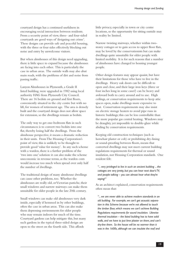courtyard design has a continued usefulness in encouraging social interaction between residents. From a security point of view, three- and four-sided courtyards are good ways of 'designing out crime'. These designs can provide safe and peaceful housing, with the three or four sides effectively blocking out noise and entry by unwelcome visitors.

But when almshouses of this design need upgrading, there is little space to expand because the almshouses are facing into each other. This is particularly the case in urban areas. The outside walls may also abut main roads, with the problems of dirt and noise from passing traffic.

Lanyon Almshouses in Plymouth, a Grade II listed building, were upgraded in 1982 using local authority HAG from Plymouth City Council. There are 16 bedsits on ground and first floors, conveniently situated in the city centre but with no lift, for women of retirement age. The area is densely built and the courtyard design does not allow space for extension, so the dwellings remain as bedsits.

The only way to get one-bedroom flats in such circumstances is to convert two bedsits into one flat, thereby losing half the dwellings. From the almshouse perspective, it means a dramatic reduction in their units. From The Housing Corporation's point of view, this is unlikely to be thought to provide good 'value for money'. In any such scheme with a warden, there is a further problem of the 'two into one' solution: it can also make the scheme uneconomic in revenue terms, as the warden costs would increase too much when spread over only half the number of dwellings.

The traditional design of many almshouse dwellings can cause other problems, too. Whether the almshouses are really old, or Victorian pastiche, their small windows and narrow stairways can make them unsuitable for older people in the late 20th century.

Small windows can make old almshouses very dark inside, especially if hemmed in by other buildings, often the case in urban areas. This can also make them depressing environments for older people who may remain indoors for much of the time. Courtyard gardens can help mitigate this, but many such gardens in the typical three-sided design are open to the street on the fourth side. This affords

little privacy, especially in town or city centre locations, so the opportunity for sitting outside may in reality be limited.

Narrow twisting stairways, whether within twostorey cottages or to gain access to upper floor flats, may be loved by the conservationists but can make dwellings quite unsuitable for older people with limited mobility. It is for such reasons that a number of almshouses have changed to housing younger people.

Other design features may appear quaint, but have their limitations for those who have to live in the dwellings. Heavy oak doors can be difficult to open and close, and their large iron keys (three or four inches long in some cases!) can be heavy and awkward both to carry around and to use. High ceilings, or conservation requirements to keep attic spaces open, make dwellings more expensive to heat. Conservation requirements may also insist on electric storage heaters to avoid pipe runs in historic buildings; this can be less controllable than the more popular gas central heating. Windows may be draughty, yet impossible to double-glaze while abiding by conservation requirements.

Keeping old construction techniques (such as horsehair plaster or cob) or prohibiting dry-lining or sound-proofing between floors, means that converted dwellings may not meet current building regulations requirements for thermal or sound insulation, nor Housing Corporation standards. One resident felt:

*"... very privileged to live in such an ancient building ... the cottages are very pretty, but you can hear next door's TV, and people talking – you can almost hear what they're saying!"*

As an architect explained, conservation requirements often mean that:

*"... we are never able to achieve modern standards in an old building. For example, we can't get acoustic separation in this Scheme because we're not allowed to touch the timber floor, which means we can't achieve Building Regulations requirements for sound insulation. Likewise thermal insulation – the listed building has to have solid walls, and we have to put lime plaster on them, and can't dry-line them. So the house will be no warmer than it was in the 1600s, although we can insulate the roof and*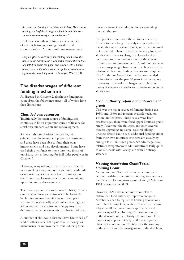*the floor. The housing association would have liked central heating, but English Heritage wouldn't permit pipework, so we have to have night storage heaters."*

In all these cases there is likely to be a conflict of interest between housing providers and conservationists. As one almshouse trustee put it:

*Lady Flo [the 17th century benefactor] didn't leave the house to the parish to be a wonderful historic this or that. She left it to house the poor. Like anyone with a hobby horse, conservationists become incapable of compromising to make something work. (Chesshyre, 1997, p 34)*

# **The disadvantages of different funding mechanisms**

As discussed in Chapter 2, almshouse funding has come from the following sources, all of which have their limitations.

#### *Charities' own resources*

Traditionally the main source of funding, this continues to be an important source of finance for almshouse modernisation and redevelopment.

Some almshouse charities are wealthy, with substantial endowments and property investments, and these have been able to fund their own improvements and new developments. Some have used their own funds to move into new forms of provision, such as housing for frail older people, as in Chapter 7.

However, many others, particularly the smaller or more rural charities, are poorly endowed, with little or no investment income or land. Some cannot even afford regular maintenance, and certainly not upgrading to modern standards.

There are legal limitations on where charity trustees can invest, requiring investments to be low-risk. Such low-risk investments may not keep pace with inflation, especially when inflation is high, so following such an investment strategy may have diminished what endowments the charity did have.

A number of almshouse charities have had to sell off land or other assets in the past to raise money for maintenance or improvement, thus reducing their

scope for financing modernisation or extending their almshouses.

This point interacts with the attitudes of charity trustees to the setting of weekly charges (which is the almshouse equivalent of rent, as further discussed in Chapter 5). There has been a tendency for some almshouse trustees to charge too low a level of contributions from residents towards the cost of maintenance and improvement. Almshouse residents may, not surprisingly, have been unwilling to pay for substandard housing, leading to a downward spiral. The Almshouse Association is to be commended for its efforts over the past 50 years in encouraging trustees to make realistic charges and to borrow money if necessary, in order to maintain and upgrade almshouses.

#### *Local authority repair and improvement grants*

This was the major source of funding during the 1950s and 1960s and remains available today on a more limited basis. There have always been disadvantages: there were fixed upper limits, so grants rarely if ever met the full costs, and only covered modest upgrading, not large-scale rebuilding. Trustees always had to seek additional funding either from their own resources or externally, usually by raising a loan. But such grants had advantages too: relatively straightforward administratively, fairly quick to obtain, dealt with locally and with no strings attached.

#### *Housing Association Grant/Social Housing Grant*

As discussed in Chapter 2, more generous grants became available to registered housing associations in the form of Housing Association Grant (HAG) from 1974 onwards, now SHG.

However, HAG was much more complex to obtain than local authority improvement grants. Almshouses had to register as housing associations with The Housing Corporation. They then became subject to all the procedures, requirements and monitoring of The Housing Corporation on top of the demands of the Charity Commission. This monitoring applies not only to the development phase, but continues indefinitely over the running of the charity and the management of the dwellings,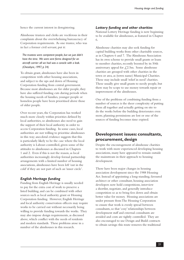hence the current interest in deregistering.

Almshouse trustees and clerks are vociferous in their complaints about the overwhelming bureaucracy of Corporation requirements. As one trustee, who was in fact a former civil servant, put it:

*The trustees were competent people, but we just didn't have the time. We were sent forms designed for an aircraft carrier: all we had was a coracle with a leak. (Chesshyre, 1997, p 34)*

To obtain grant, almshouses have also been in competition with other housing associations, and subject to the ups and down of Housing Corporation funding from central government. Because most almshouses are for older people, they have also suffered funding cuts during periods when the housing needs of families, younger people or homeless people have been prioritised above those of older people.

Over recent years, the Corporation has worked much more closely within priorities defined by local authorities, so almshouses also need to gain the support of their local authority in order to access Corporation funding. In some cases, local authorities are not willing to prioritise almshouses in this way; anecdotal evidence suggests that this is particularly likely to be the case where the local authority is Labour-controlled, given some of the attitudes to almshouses as discussed in Chapters 1 and 2. Even if this is not the reason, as local authorities increasingly develop formal partnership arrangements with a limited number of housing associations, almshouses have been left 'out in the cold' if they are not part of such an 'inner circle'.

#### *English Heritage funding*

Funding from English Heritage is usually needed to pay for the extra cost of work to preserve a listed building, and can be combined with other sources such as local authority grant or Housing Corporation funding. However, English Heritage and local authority conservation officers may require works to be carried out without necessarily being willing to provide funding towards the works. They may also impose design requirements, as discussed above, which conflict with the needs of residents and modern standards. These problems arose in a number of the almshouses in this research.

#### *Lottery funding and other charities*

National Lottery Heritage funding is now beginning to be available for almshouses, as featured in Chapter 6.

Almshouse charities may also seek funding for capital building works from other charitable sources, as in Chapters 6 and 7. The Almshouse Association has its own scheme to provide small grants or loans to member charities, recently boosted by its 50th anniversary appeal for  $\angle 2.5$ m. Some almshouse charities are grouped with other charities in the town or area, as (town name) Municipal Charities. These may include small 'relief in need' charities. These usually give small grants to needy people, but there may be scope to use money towards repair or improvement of the almshouses.

One of the problems of combining funding from a number of sources is the sheer complexity of putting them all together and actually getting on site to do the works before the building deteriorates even more, planning permissions are lost or one of the sources of funding becomes time expired.

# **Development issues: consultants, procurement, design**

Despite the encouragement of almshouse charities to work with more experienced developing housing associations, many have appeared to remain outside the mainstream in their approach to housing development.

There have been major changes in housing association development since the 1988 Housing Act. Instead of appointing a long-standing, favoured architect or other consultant, housing association developers now hold competitions, interview a shortlist, negotiate, and generally introduce competition so as to bring fees down and obtain better value for money. Housing associations are under pressure from The Housing Corporation to ensure that work is evenly spread between consultants, so that 'cosy' relationships between development staff and external consultants are avoided and costs are tightly controlled. They are also encouraged to use Design and Build contracts to obtain savings: this route removes the traditional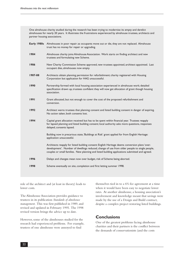One almshouse charity studied during the research has been trying to modernise its empty and derelict almshouses for nearly 20 years. It illustrates the frustrations experienced by almshouse trustees, architects and partner housing associations.

|         | Early 1980s Almshouses in poor repair; as occupants move out or die, they are not replaced. Almshouse<br>trust has no money for repair or upgrading.                                                                                                                                             |
|---------|--------------------------------------------------------------------------------------------------------------------------------------------------------------------------------------------------------------------------------------------------------------------------------------------------|
| 1984    | Almshouse charity joins Almshouse Association. Work starts on finding architect and new<br>trustees and formulating new Scheme.                                                                                                                                                                  |
| 1986    | New Charity Commission Scheme approved, new trustees appointed, architect appointed. Last<br>occupant dies, almshouses now empty.                                                                                                                                                                |
| 1987-88 | Architects obtain planning permission for refurbishment; charity registered with Housing<br>Corporation but application for HAG unsuccessful.                                                                                                                                                    |
| 1990    | Partnership formed with local housing association experienced in almshouse work; detailed<br>specification drawn up, trustees confident they will now get allocation of grant though housing<br>association.                                                                                     |
| 1991    | Grant allocated, but not enough to cover the cost of the proposed refurbishment and<br>conversion.                                                                                                                                                                                               |
| 1992    | Architect warns trustees that planning consent and listed building consent in danger of expiring.<br>No action taken, both consents lost.                                                                                                                                                        |
| 1994    | Capital grant allocation received but has to be spent within financial year. Trustees reapply<br>for lapsed planning and listed building consent; local authority asks more questions, responses<br>delayed, consents lapsed.                                                                    |
|         | Building now in precarious state, 'Buildings at Risk' grant applied for from English Heritage:<br>application unsuccessful.                                                                                                                                                                      |
|         | Architects reapply for listed building consent: English Heritage deems conversion plans 'over-<br>development'. Number of dwellings reduced, change of use from older people to single people,<br>couples or small families. New planning and listed building applications submitted and agreed. |
| 1996    | Delays and changes mean now over budget, risk of Scheme being aborted.                                                                                                                                                                                                                           |
| 1998    | Scheme eventually on site, completion and first letting summer 1998.                                                                                                                                                                                                                             |

role of the architect and (at least in theory) leads to lower costs.

The Almshouse Association provides guidance to trustees in its publication *Standards of almshouse management*. This was first published in 1989, and revised and updated in February 1995. The 1998 revised version brings the advice up to date.

However, some of the almshouses studied for the research had experienced problems. For example, trustees of one almshouse were annoyed to find

themselves tied in to a 6% fee agreement at a time when it would have been easy to negotiate lower rates. At another almshouse, a housing association's involvement and knowledge meant that savings were made by the use of a Design and Build contract, despite a complex project restoring listed buildings.

## **Conclusions**

One of the greatest problems facing almshouse charities and their partners is the conflict between the demands of conservationists (and the costs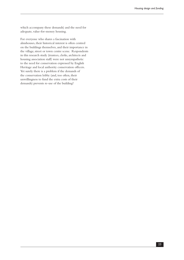which accompany these demands) and the need for adequate, value-for-money housing.

For everyone who shares a fascination with almshouses, their historical interest is often centred on the buildings themselves, and their importance in the village, street or town centre scene. Respondents in this research study (trustees, clerks, architects and housing association staff) were not unsympathetic to the need for conservation expressed by English Heritage and local authority conservation officers. Yet surely there is a problem if the demands of the conservation lobby (and, too often, their unwillingness to fund the extra costs of their demands) prevents re-use of the building?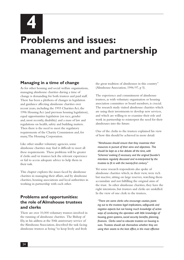**4**

# **Problems and issues: management and partnership**

# **Managing in a time of change**

As for other housing and social welfare organisations, managing almshouse charities during a time of change is demanding for both trustees and paid staff. There has been a plethora of changes in legislation and guidance affecting almshouse charities over recent years, including the 1993 Charities Act, the 1996 Housing Act (and previous housing legislation), equal opportunities legislation (on race, gender and, most recently, disability) and a mass of law and regulations on health, safety and building matters. Then there is the need to meet the regulatory requirements of the Charity Commission and, for many, The Housing Corporation.

Like other smaller voluntary agencies, some almshouse charities may find it difficult to meet all these requirements. These problems will be greater if clerks and/or trustees lack the relevant experience or fail to access adequate advice to help them in their task.

This chapter explores the issues faced by almshouse charities in managing their affairs, and by almshouse charities, housing associations and local authorities in working in partnership with each other.

# **Problems and opportunities: the role of Almshouse trustees and clerks**

There are over 10,000 voluntary trustees involved in the running of almshouse charities. The Bishop of Ely, in his address at the 50th anniversary service of the Almshouse Association, described the task facing almshouse trustees as being "to keep lively and fresh

the great tradition of almshouses in this country" (Almshouse Association, 1996/97, p 5).

The experience and commitment of almshouse trustees, as with voluntary organisation or housing association committee or board members, is crucial. The research study visited almshouse charities which are using their investments to develop new services, and which are willing to re-examine their role and work in partnership to reinterpret the need for their almshouses into the future.

One of the clerks to the trustees explained his view of how this should be achieved in more detail:

*"Almshouses should ensure that they maximise their resources in pursuit of their aims and objectives. This should be kept as a live debate all the time, with 'Schemes' evolving if necessary and the original founder's intentions regularly discussed and re-interpreted by the trustees to fit in with the twenty-first century."*

Yet some research respondents also spoke of almshouse charities which, in their view, were rich but inactive, sitting on large reserves, watching them accumulate and not fulfilling the original aims of the trust. In other almshouse charities, they have the right intentions, but trustees and clerks are unskilled. In the view of one clerk to the trustees,

*"There are some clerks who encourage caution, pointing out to the trustees legal implications, safeguards and negative aspects but not having much knowledge of active ways of conducting the operation with little knowledge of housing, grant systems, social security benefits, planning, finances. Clerks need to educate trustees on housing issues. Trustees should ask themselves whether they are using their assets to the best effect, in the most effective*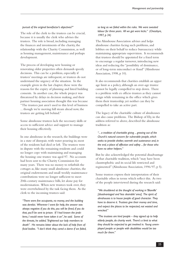#### *pursuit of the original benefactor's objectives?"*

The role of the clerk to the trustees can be crucial, because it is usually the clerk who advises the trustees. The role is broad, including managing the finances and investments of the charity, the relationship with the Charity Commission, as well as housing management, maintenance and perhaps development.

The process of developing new housing or renovating older properties often demands speedy decisions. This can be a problem, especially if trustees' meetings are infrequent, or trustees do not understand the urgency of the situation. In the example given in the last chapter, these were the reasons for the expiry of planning and listed building consents. In another case, the whole project was threatened by delays in decision making, and their partner housing association thought this was because "The trustees just aren't used to this level of business ... though we're moving full steam ahead now, the trustees are getting left behind."

Some almshouse trustees lack the necessary skills or access to sufficient advice and support to manage their housing effectively.

In one almshouse in the research, the buildings were in a state of disrepair, with water pouring in; most of the residents had died or left. The trustees were in dispute with the remaining residents and could no longer cope with maintaining and managing the housing: one trustee was aged 97. No accounts had been sent to the Charity Commission for many years. There was no money to refurbish the cottages as, like many small almshouse charities, the original endowments and small weekly maintenance contributions were no longer sufficient to meet 20th-century maintenance bills, let alone pay for modernisation. When new trustees took over, they were overwhelmed by the task facing them. As the clerk to the incoming trustees said:

*"There were five occupants, no money, and the building was derelict. Wherever I went for help, the answer was always negative: if you do this, you will be fined, if you do that, you'll be sent to prison. If I had known the problems, I would never have taken it on", he said. Some of the threats, he added, "frightened our lady members to death". He remains bitter about the lack of help from official bodies. "I don't think they cared a damn if we failed,* 

#### *so long as we failed within the rules. We were sweated labour for three years. All we got were kicks." (Chesshyre, 1997, p 34)*

The Almshouse Association advises and helps almshouse charities facing such problems, and lobbies on their behalf to reduce bureaucracy while maintaining appropriate supervision. It recommends that trustees should be appointed for a fixed term to encourage a regular turnover, introducing new ideas and reducing the "possibility of dominance, or of long-term misconduct or fraud" (Almshouse Association, 1998, p 10).

It also recommends that charities establish an upper age limit as a policy, although an over-age trustee cannot be legally compelled to step down. There is a problem with ex officio trustees as they cannot resign while remaining in the office which gives them their trusteeship, yet neither can they be compelled to take an active part.

The legacy of the charitable culture of almshouses can also cause problems. The Bishop of Ely, in the address referred to above, described the almshouse tradition as:

*"... a tradition of charitable giving ... growing out of the Church's natural concern for vulnerable people, which seeks to provide shelter, warmth and sustenance and, in the end, a place of affection and safety ... for those who have no other helpers."*

But he also acknowledged the potential disadvantage of that charitable tradition, which "may have been claustrophobic and its social life restricted and regimented" (Almshouse Association, 1996/97, p 5).

Some trustees express their interpretation of their charitable ethos in terms which reflect this. As two of the people interviewed during the research said:

*"We shuddered at the thought of working in 'Bloxville' [disadvantaged and 'less desirable' area]. The spirit of almshouses is to house people of good character. They have to deserve it. Trustees give their money and time, and expect the places to be respected, not wasted and wrecked."*

*"The trustees are kind people – they signed up to help elderly people, do charity work. There's a limit to what they should be expected to get involved in. Young unemployed people or people with disabilities would be too much for them."*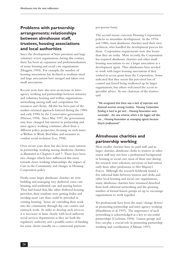# **Problems with partnership arrangements: relationships between almshouse staff, trustees, housing associations and local authorities**

Since the development of State provision and large voluntary sector organisations during this century, there has been an expansion and professionalisation of many housing and social care organisations (Hoggett, 1994). For example, the number of housing associations has declined as medium-sized and large associations have merged and taken over small associations.

Recent years have also seen an increase in interagency working and partnerships between statutory and voluntary housing and welfare organisations, networking among staff, and competition for resources and clients. All this has been part of the market-oriented approach fostered during the 1980s and early 1990s by the Conservative government (Pierson, 1994). Since May 1997, the government may have changed, but interest in partnership and inter-agency working continues, albeit from a different policy perspective, focusing on such issues as Welfare to Work, Best Value and measures to combat social exclusion (Lee, 1998).

Over recent years there has also been some interest in partnership working among almshouse charities, as illustrated in Chapters 6 and 7. There have been two changes which have influenced this move towards closer working relationships: the impact of Care in the Community and changes in Housing Corporation policy.

Firstly, some larger almshouse charities are now building and managing very sheltered, extra-care housing, and residential care and nursing homes. They had found that, like other sheltered housing providers, their residents were getting frailer and needing more care than could be provided in existing housing. Some are extending their work into the community through day care centres and outreach work. In order to develop such services, it is necessary to liaise closely with local authority social services departments as they are both the regulatory authority and a possible source of funding for some clients (usually on a contractual, paymentper-person basis).

The second reason concerns Housing Corporation policies to streamline development. In the 1970s and 1980s, most almshouse charities used their own architects, who handled the development process for them. Corporation requirements were also looser than they are today. More recently, the Corporation has required almshouse charities and other small housing associations to use a larger association as a development agent. Thus almshouses have needed to work with larger housing associations if they wished to access grant from the Corporation. Some indicated that they resent this perceived loss of control and feared being swallowed up by larger organisations, but others welcomed the access to specialist advice. As one chairman of the trustees said:

*"We recognised that there was a lack of expertise and financial acumen among trustees. Housing Corporation funding is hard to get and ... Housing Association were successful ... the new scheme, which is far bigger, will also use ... Housing Association as managing agents because they're professional."*

# **Almshouse charities and partnership working**

Most smaller charities have no paid staff, and in larger charities, almshouse clerks to trustees or other senior staff may not have a professional background in housing or social care: most of those met during the research were solicitors, surveyors or had retired early from other professions or Her Majesty's Forces. Although the research fieldwork found a few informal links between trustees and clerks and other local housing and social care organisations, many almshouse charities have remained detached from both informal networking and the growing number of formal liaison groups set up to encourage organisations to work together.

Yet professionals have been the main 'change drivers' in promoting partnership and inter-agency working (Hambleton et al, 1997). The importance of such networking is acknowledged as a key to successful partnerships (Cochrane, 1994). Liaison groups and fora can play a crucial role in promoting partnership working and coordination (Oldman, 1997).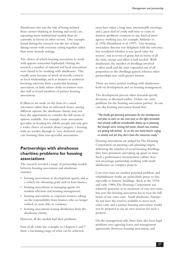Almshouses also run the risk of being isolated from current thinking in housing and social care, espousing more institutional models than are currently in favour in other sectors. One example found during the research was the use of large dining rooms with everyone eating together rather than more homely settings.

The choice of which housing association to work with appears somewhat haphazard. During the research, a number of national and local associations were found to be working with almshouses. This usually arose because of word-of-mouth contacts or local relationships, such as trustees or architects knowing someone from a particular housing association, or links where clerks or trustees were also staff or board members of partner housing associations.

If alliances are made on the basis of a casual encounter rather than an informed choice among different options, the almshouse charity may not have the opportunity to consider the full menu of options available. For example, some associations specialise in housing for elderly people and may give a wider choice of models (from Category 1 housing with no warden through to 'very sheltered' extracare housing) than non-specialist associations.

# **Partnerships with almshouse charities: problems for housing associations**

The research revealed a range of partnership models between housing associations and almshouse charities:

- housing associations as development agents, and as a vehicle for obtaining grant and/or loan finance;
- housing associations as managing agents, for resident selection and housing management;
- housing associations as corporate trustees, taking on the responsibility from trustees who no longer wished, or were able, to continue;
- housing associations leasing almshouses from the almshouse charity.

However, all the models had their problems.

First of all, while the examples in Chapters 6 and 7 show a fascinating range of what can be achieved,

most have taken a long time, interminable meetings, and a great deal of costly staff time to come to fruition: problems common to any kind of interagency working (see, for example, Arblaster et al, 1996; Hambleton et al, 1997). One housing association director was delighted with the outcome, but wondered whether it was 'good value for money', not in terms of grant, but in terms of all the time, energy and effort it had needed. With almshouses, the number of dwellings involved is often small and the time expended out of all proportion to the dwellings gained, whereas other partnerships may yield greater returns.

There are issues around working with almshouses both on development and on housing management.

The development process often demands speedy decisions, as discussed earlier. Delays can cause problems for the housing association partner. In one case, the housing association found that:

*"We finally got planning permission for the development and plan to start on site next year, so the tight timetable had already suffered considerable delays up to planning. But though we're moving full steam ahead now, trustees are getting left behind. So on the one hand they're urging us ahead, and yet they don't have the resources ready."*

Housing associations are judged by The Housing Corporation on meeting cash planning targets, delivering the number of social housing dwellings they have promised, and taking up grant on time. Such a performance measurement culture does not encourage partnership working with small almshouses on complex projects.

Cost over-runs are another potential problem, and refurbishment works are particularly prone to this, especially to historic buildings. Back in the 1970s and early 1980s, The Housing Corporation was relatively generous in its treatment of cost over-runs, but now the housing association has to bear the full brunt of any extra costs. Small almshouse charities do not have the reserves available to meet such extra costs, and a partner housing association would not be prepared to use its own reserves for such a purpose.

On the management side, there have also been legal problems over agreeing leases and management agreements (between housing associations and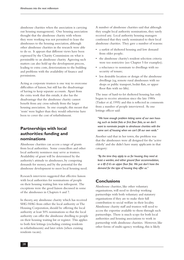almshouse charities when the association is carrying out housing management). One housing association thought that the almshouse charity with whom they were working was not permitted to lease the almshouses to the housing association, although other almshouse charities in the research were able to do so. It appears that different views have been expressed by the Charity Commission on what is permissible to an almshouse charity. Agreeing such matters can also hold up the development process, leading to extra costs, deteriorations to the building and problems with the availability of finance and permissions.

Acting as corporate trustees is one way to overcome difficulties of liaison, but still has the disadvantage of having to keep separate accounts. Apart from the extra work that this entails, it also has the disadvantage that the almshouse charity cannot benefit from any cross-subsidy from the larger housing association. In one example, this meant that 'rents' were higher than they would otherwise have been to cover the cost of refurbishment.

# **Partnerships with local authorities: funding and nominations**

Almshouse charities can access a range of grants from local authorities. Some councillors and other local authority nominees may serve as trustees. Availability of grant will be determined by the authority's attitude to almshouses, by competing demands for money, and by the potential for the almshouse development to meet local housing need.

Research interviews suggested that effective liaison with local authorities for nominations of people on their housing waiting lists was infrequent. The exceptions were the good liaison discussed in some of the almshouses in Chapters 6 and 7.

In theory, any almshouse charity which has received SHG/HAG from either the local authority or The Housing Corporation, should be offering the local authority at least 50% nominations so that the local authority can offer the almshouse dwelling to people on their housing waiting list or register. This applies to both first lettings (excluding existing residents in refurbishments) and later relets (when existing residents vacate).

A number of almshouse charities said that although they sought local authority nominations, they rarely received any. Local authority housing managers confirmed that they rarely nominated to their local almshouse charities. They gave a number of reasons:

- • a surfeit of sheltered housing and low demand from older people;
- the almshouse charity's resident selection criteria were too restrictive (see Chapter 5 for examples);
- a reluctance to nominate to dwellings with no security of tenure;
- less desirable location or design of the almshouse dwellings (eg, remote rural almshouses with no shops or public transport, bedsit flats, or upper floor flats with no lifts).

The issue of hard-to-let sheltered housing has only begun to receive attention since the late 1980s (Tinker et al, 1995) and this is reflected in comments from a number of people interviewed. As one lettings officer said:

*"We have enough problem letting some of our own housing, such as bedsit flats or first floor flats, so we don't want to nominate people to almshouse charities with the same sort of housing when we can't fill our own voids."*

Another said that in her town, the problem was that the almshouses were all designed for the 'active elderly' and she didn't have many applicants in that category:

*"By the time they apply to us for housing, they need at least a warden, and either ground floor accommodation, or a lift if it's an upper floor flat. We just don't have the demand for the type of housing they offer us."*

# **Conclusions**

Almshouse charities, like other voluntary organisations, will need to develop working partnerships with both voluntary and statutory organisations if they are to make their full contribution to social welfare in their locality. Almshouse charity staff and trustees will need to access the expertise available to them through such partnerships. There is much scope for both local authorities and housing associations to work in partnership with almshouse charities. However, like other forms of multi-agency working, this is likely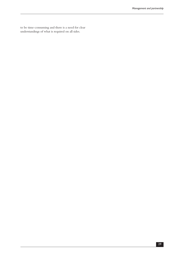to be time-consuming and there is a need for clear understandings of what is required on all sides.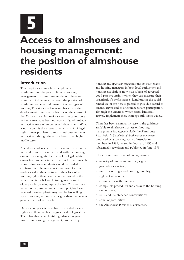**5**

# **Access to almshouses and housing management: the position of almshouse residents**

#### **Introduction**

This chapter examines how people access almshouses, and the practicalities of housing management for almshouse residents. There are a number of differences between the position of almshouse residents and tenants of other types of housing. This situation has arisen because of the development of tenants' rights during the course of the 20th century. In previous centuries, almshouse residents may have been no worse off (and probably, in practice, were often better off) than others. What is not known is the extent to which a lack of legal rights causes problems to most almshouse residents in practice, although there have been a few highprofile cases.

Anecdotal evidence and discussion with key figures in the almshouse movement and with the housing ombudsman suggests that the lack of legal rights causes few problems in practice, but further research among almshouse residents would be needed to confirm this. The residents interviewed for this study varied in their attitude to their lack of legal housing rights: their comments are quoted in the relevant sections below. Future generations of older people, growing up in the later 20th century, when both consumer and citizenship rights have received more emphasis, may also be less willing to accept housing without such rights than the current generation of older people.

Over recent years, tenants have demanded clearer rights and there has been a great deal of legislation. There has also been plentiful guidance on good practice in housing management, produced by

housing and specialist organisations, so that tenants and housing managers in both local authorities and housing associations now have a basis of accepted good practice against which they can measure their organisation's performance. Landlords in the social rented sector are now expected to give due regard to tenants' rights and to encourage tenant participation, although the extent to which social landlords actively implement these concepts still varies widely.

There has been a similar increase in the guidance available to almshouse trustees on housing management issues, particularly the Almshouse Association's *Standards of almshouse management*, produced by a working party of Association members in 1989, revised in February 1995 and substantially rewritten and published in June 1998.

This chapter covers the following matters:

- • security of tenure and tenancy rights;
- grounds for eviction;
- mutual exchanges and housing mobility;
- rights of succession;
- consultation with residents:
- complaints procedures and access to the housing ombudsman;
- rents and maintenance contributions:
- equal opportunities;
- the Almshouse Residents' Guarantee.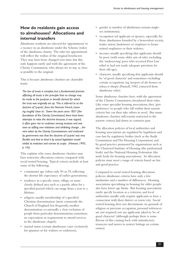## **How do residents gain access to almshouses? Allocations and internal transfers**

Almshouse residents are selected for 'appointment' to a vacancy in an almshouse under the Scheme (rules) of the almshouse charity. The rules for appointment will reflect the wishes of the original benefactor. They may have been changed over time, but this only happens rarely and with the agreement of the Charity Commission, who always try to stay as close as possible to the original.

This is because almshouse charities are charitable trusts:

*The law of trusts is complex, but a fundamental premise affecting all trusts is the principle that no change may be made to the purpose or benefit derived for which the trust was originally set up. This is referred to as the doctrine of 'cy-près', from the Norman French, meaning roughly 'close to'. Down the years since 1857 [the foundation of the Charity Commission] there have been attempts to relax the doctrine because, it was argued, it often gave rise to confusion among trustees and was seen as stifling new initiatives and inhibiting change ... the view taken by the Charity Commissioners and endorsed by government was that the doctrine of 'cy-près' was very flexible and that to bind it by actual legislation would inhibit its evolution and narrow its scope. (Howson, 1993, p 142)*

This explains why some almshouse charities may have restrictive allocations criteria compared with social rented housing. Typical criteria include at least some of the following:

- a minimum age (often only 50 or 55, reflecting the shorter life expectancy of earlier generations);
- • residence in a specific town, village, or more closely defined area such as a parish, often for a specified period which can range from a year to a lifetime;
- • religion, usually membership of a specified Christian denomination (most commonly the Church of England; less frequently, another denomination; occasionally a clear exclusion of people from particular denominations; sometimes an expectation or requirement to attend services in the almshouse chapel);
- marital status (certain almshouses cater exclusively for spinsters or for widows or widowers);
- gender (a number of almshouses remain singlesex institutions);
- • occupation (of applicant or spouse), especially for those almshouses founded by a benevolent society, trades union, landowner or employer to house retired employees or their widows;
- income, usually specifying that applicants should be poor (with some older sets of rules excluding the 'undeserving' poor who received Poor Law relief or had not made adequate provision for their old age);
- character, usually specifying that applicants should be 'of good character' and sometimes excluding certain occupations (eg, keepers of ale-houses or tobacco-shops) (Pannell, 1982, extracted from almshouse rules).

Some almshouse charities have, with the agreement of the Charity Commission, broadened their rules. Like some specialist housing associations, they 'give preference' to people who fall within their narrow criteria but can then take others in need. But many almshouse charities still remain restricted to the narrow criteria laid down in centuries past.

The allocation policies of local authorities and housing associations are regulated by legislation and case-law, by regulatory bodies (such as the Audit Commission and The Housing Corporation) and by good practice promoted by organisations such as the Chartered Institute of Housing (the professional body) and the National Housing Federation (the trade body for housing associations). So allocation policies must meet a range of criteria based on law and good practice.

Compared to social rented housing allocations policies, almshouse criteria have only a few similarities and a number of differences. Housing associations specialising in housing for older people also have lower age limits. But housing associations rarely specify location as a criterion, and local authorities usually only require applicants to have a connection with their district or town/city. Social rented housing does not discriminate on grounds of religion or previous occupation, personal references are not required, nor are applicants asked to 'be of good character' (although perhaps there is some flavour of this coming back with introductory tenancies and moves to restrict lettings on certain estates).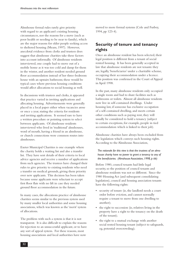Almshouse formal rules rarely give priority with regard to an applicant's existing housing circumstances, nor the reasons for a move (such as poor health or needing to be near to family), which are the major reasons for older people seeking access to sheltered housing (Means, 1997). However, anecdotal evidence from clerks and trustees does suggest that almshouse charities take these factors into account informally. Of almshouse residents interviewed, one couple had to move out of a mobile home as it was too cold and damp for them in the winter, and another resident needed ground floor accommodation instead of her three-bedroom house with an upstairs bathroom; these would be typical cases where previous housing conditions would affect allocations to social housing as well.

In discussions with trustees and clerks, it appeared that practice varied in inviting applications and allocating housing. Advertisements were generally placed in a local paper either when vacancies arose or once a year, stating the criteria for residents and inviting applications. It seemed rare to have a written procedure or pointing system to select between applicants. Of almshouse residents interviewed who lived in 'traditional' almshouses, word of mouth, having a friend in an almshouse, or church connections were common routes into almshouses.

Exeter Municipal Charities is one example where the charity holds a waiting list and also a transfer list. They have sent details of their criteria to local advice agencies and receive a number of applications from such agencies. The trustees have changed their rules to give priority to existing residents who need a transfer on medical grounds, giving them priority over new applicants. This decision has been taken because some applicants were reluctant to accept first floor flats with no lift in case they needed ground floor accommodation in the future.

In many cases, the allocations practice of almshouse charities seems similar to the previous system used by many smaller local authorities and some housing associations, which was known as the 'merit' system of allocations.

The problem with such a system is that it is not transparent. It is also difficult to explain the reasons for rejection to an unsuccessful applicant, or to have any sort of appeal system. For these reasons, most housing associations and local authorities have now

moved to more formal systems (Cole and Furbey, 1994, pp 123-4).

#### **Security of tenure and tenancy rights**

Once an almshouse resident has been selected, their legal position is different from a tenant of social rented housing. It has been generally accepted in law that almshouse residents are not tenants: they are, legally, 'beneficiaries' under a charitable scheme, occupying their accommodation under a licence. This position was confirmed in the Court of Appeal in April 1998.

In the past, many almshouse residents only occupied a single room and had to share facilities such as bathrooms or toilets. Almost all almshouse residents now live in self-contained dwellings. Under housing law, if someone has exclusive occupation of a self-contained dwelling, and meets certain other conditions such as paying rent, they will usually be considered to hold a tenancy (subject to certain exceptions, for example, people in tied accommodation which is linked to their job).

Almshouse charities have always been excluded from the legislation which conveys such housing rights. According to the Almshouse Association,

#### *The rationale for this view is that the trustees of an almshouse charity have no power to grant a tenancy to any of the beneficiaries. (Almshouse Association, 1998, p 66)*

Before 1980, council tenants had little legal security, so the position of council tenants and almshouse residents was not so different. Since the 1980 Housing Act (and subsequent consolidating legislation), council and housing association tenants have the following rights:

- • security of tenure (ie, the landlord needs a court order before eviction, and cannot normally require a tenant to move from one dwelling to another);
- the right to succession (ie, relatives living in the property have a right to the tenancy on the death of the tenant);
- the right to a mutual exchange with another social rented housing tenant (subject to safeguards, eg, potential overcrowding);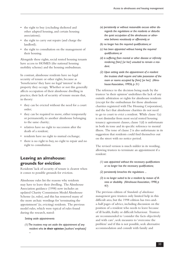- the right to buy (excluding sheltered and other adapted housing, and certain housing associations);
- the right to carry out repairs (and charge the landlord);
- the right to consultation on the management of their housing.

Alongside these rights, social rented housing tenants have access to HOMES (the national housing mobility scheme) and the housing ombudsman.

In contrast, almshouse residents have no legal security of tenure or other rights, because as 'beneficiaries' they have no legal 'interest' in the property they occupy. Whether or not this generally affects occupation of their almshouse dwelling in practice, their lack of security of tenure means that, in theory:

- • they can be evicted without the need for a court order;
- they can be required to move, either temporarily or permanently, to another almshouse belonging to the same charity;
- relatives have no right to succession after the death of a resident;
- residents have no right to mutual exchange;
- there is no right to buy, no right to repair and no right to consultation.

#### **Leaving an almshouse: grounds for eviction**

Residents' lack of security of tenure is clearest when it comes to possible grounds for eviction.

Almshouse rules list the reasons why residents may have to leave their dwelling. The Almshouse Association guidance (1998) now includes an updated Charity Commission Model Almshouse Scheme (ie, rules), and this has removed many of the more archaic wordings for 'terminating the appointment' (ie, evicting) residents. The previous model rules, which were typical of rules found during the research, stated:

#### *Setting aside appointments*

*(1) The trustees may set aside the appointment of any resident who in their opinion [authors' emphasis] –*

- *(a) persistently or without reasonable excuse either disregards the regulations or the residents or disturbs the quiet occupation of the almshouses or otherwise behaves vexatiously or offensively; or*
- *(b) no longer has the required qualifications; or*
- *(c) has been appointed without having the required qualifications; or*
- *(d) is suffering from mental or other disease or infirmity rendering [him] [or her] unsuited to remain a resident.*
- *(2) Upon setting aside the appointment of a resident the trustees shall require and take possession of the room or rooms occupied by [him] [or her]. (Almshouse Association, 1995b, p 31)*

The reference to the decision being made by the trustees 'in their opinion' underlines the lack of any outside arbitration or rights for almshouse residents (except for the ombudsman for those almshouse charities registered with The Housing Corporation), and the fact that almshouse charities do not need to go to court to evict a resident. While clause 1(a) is not dissimilar from most social rented housing tenancy agreement clauses, clause 1(d) is unfortunate in both its tone and its specific reference to mental illness. The tone of clause 2 is also unfortunate in its suggestion that residents could find themselves out on the street with no notice period.

The revised version is much milder in its wording, allowing trustees to terminate an appointment if a resident:

- *(1) was appointed without the necessary qualifications or no longer has the necessary qualifications;*
- *(2) persistently breaches the regulations ...*
- *(3) is no longer suited to be a resident by reason of illness or disability. (Almshouse Association, 1998, p 97)*

The previous edition of *Standards of almshouse management* gave trustees only limited help in this difficult area, but the 1998 edition has two-anda-half pages of advice, including discussion on the position of a resident who needs to leave because of ill health, frailty or difficult behaviour. Trustees are recommended to 'consider the facts objectively and with care', seek measures to 'overcome the problem' and if this is not possible, seek alternative accommodation and consult with family and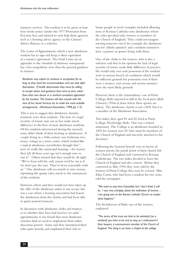statutory services. The resident is to be given at least four weeks notice (under the 1977 Protection from Eviction Act) and advised to seek help from agencies such as a housing advice agency or the Citizen's Advice Bureau, or a solicitor.

The Letter of Appointment, which a new almshouse resident has to sign and keep, is their equivalent of a tenancy agreement. The Draft Letter (in an appendix to the *Standards of almshouse management*) has a less sympathetic tone than the general guidance to trustees:

*Residents may expect to continue in occupation for as long as they need the accommodation and can look after themselves. If health deteriorates they must be willing to accept advice and guidance from time to time, either from their own doctor or a medical consultant appointed by the trustees. The trustees will also consult with the next of kin, Social Services etc to make the most suitable arrangements. (Almshouse Association, 1998, pp 113)*

This is not to suggest that almshouse charities routinely evict their residents. The lack of a legal security of tenure may not in fact make much difference to the lives of most almshouse residents. Of the residents interviewed during the research, some didn't think of their housing as almshouses. A couple living in a 16th-century one-bedroom twostorey cottage in a town centre, which looked like a typical almshouse, nevertheless thought that "... now it's really like municipal housing – the money they left all those years ago isn't enough now to run it". Others trusted that they would be all right: "We've been told the only reason we'd be out is if we don't pay the rent. They've been reasonable with us." One almshouse sells tea towels to raise money, reprinting the quaint rules, much to the amusement of the residents.

However, others said they would not have taken up the offer of the almshouse unless it was secure: this was a case where a housing association had leased the almshouses from the charity and had been able to grant assured tenancies.

In discussion with almshouse clerks and trustees, as to whether they have had need to 'set aside' appointments, it was found that most almshouse charities find no need to implement their rather draconian powers. Some said they interpreted their rules quite loosely, and emphasised their role to

house people in need: examples included allowing men or Roman Catholics into almshouses where the rules specified only women or members of the Church of England. They could not imagine turning someone out if, for example, the almshouse was for 'elderly spinsters' and a resident wanted to have a partner or spouse living with them.

One of the clerks to the trustees, who is also a solicitor, said that in his opinion the lack of legal security of tenure made little difference in practice. He would only ever seek possession if the resident were in serious breach of conditions which would be sufficient grounds for possession even if there were a tenancy: rent arrears and serious nuisance were the most likely grounds.

However, there is the extraordinary case of Partis College, Bath, reported in full in the local press (*Bath Chronicle*, 1994a-d, from where these quotes are taken). The almshouse charity is not a RSL but it is a member of the Almshouse Association.

Two ladies, then aged 81 and 82, lived at Partis College, Newbridge, Bath. One was a retired missionary. The College is an almshouse founded in 1825 for women over 50 'who must be members of the Church of England and sincerely attached to her doctrines'.

Following the General Synod's vote in favour of women priests, the parish priest of their church left the Church of England and converted to Roman Catholicism. The two ladies decided to leave the Church of England and also convert. Before they converted in May 1994, they were told by the trustees of Partis College they may be evicted. Miss Edna Curtis, who had been a resident for two years, told the newspaper:

*"We want to stay here if possible, but I don't think it will be. I was very unhappy about the ordination of women ... I am going over to the Roman Catholic Church no matter what happens."*

The Archdeacon of Bath, one of the trustees, explained:

*"The terms of the trust are that to be admitted [as a resident] you have to be and to stay, as I understand it from lawyers, a communicant member of the Church of England. The thing is we have a chapel at the college*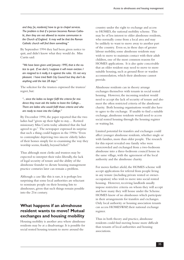*and they [ie, residents] have to go to chapel services. The problem is that if a person becomes Roman Catholic, then they are not allowed to receive communion in the Church of England. It may well be that the Roman Catholic church will find them something."*

By September 1994 they had been given notice to quit, and didn't know what they would do. Miss Curtis said:

*"We have been given until January 1995, that is the notice to quit. If we don't, I suppose it will mean eviction. I am resigned to it really, it is against the rules. It's not very pleasant. I have tried Bath City Council but they don't do anything until the last 28 days."*

The solicitor for the trustees expressed the trustees' regret, but:

*"... since the ladies no longer fulfil the criteria for residence they must ask the ladies to leave the College.... There are ladies who would fulfil those criteria and who are ready to move into the College."*

By December 1994, the paper reported that the two ladies had "given up their fight to stay.... Retired missionary Miss Curtis today admitted that she had agreed to go." The newspaper expressed its surprise that such a thing could happen in the 1990s: "Even to contemplate depriving two sincere elderly ladies of their homes simply for re-examining the way they worship seems, frankly, beyond belief."

Thus although most clerks and trustees may be expected to interpret their rules liberally, the lack of legal security of tenure and the ability of the almshouse founder to dictate housing management practice centuries later can remain a problem.

Although a case like this is rare, it is perhaps less surprising that some local authorities are reluctant to nominate people on their housing lists to almshouses, given that such things remain possible into the 21st century.

### **What happens if an almshouse resident wants to move? Mutual exchanges and housing mobility**

Housing mobility is another area where almshouse residents may be at a disadvantage. It is possible for social rented housing tenants to move around the

country under the right to exchange and access to HOMES, the national mobility scheme. This may be of less interest to older almshouse residents, who normally come from a local area and may be unlikely to want to move away to another part of the country. Even so, in these days of greater labour mobility, some almshouse residents may wish to move to maintain contact with their adult children, one of the most common reasons for HOMES applications. It is also quite conceivable that an older resident may need to move to more suitable housing, such as ground floor or warden accommodation, which their almshouse cannot provide.

Almshouse residents can in theory arrange exchanges themselves with tenants in social rented housing. However, the incoming resident would need to accept the lack of security of tenure and also meet the often restricted criteria of the almshouse charity. Both housing organisations would also have to agree to the exchange. If unable to find a suitable exchange, almshouse residents would need to access social rented housing through the housing register or waiting list.

Limited potential for transfers and exchanges could affect younger almshouse residents, whether single or with families, more than older people. The research for this report revealed one family who were overcrowded and exchanged from a two-bedroom almshouse into a three-bedroom council house in the same village, with the agreement of the local authority and the almshouse charity.

For moves further afield, the HOMES scheme will accept applications for referral from people living in any tenure (including private rented or owneroccupation) who wish to move into social rented housing. However, receiving landlords usually impose restrictive criteria on whom they will accept and how many they will house under the Scheme. HOMES know of no almshouses which participate in their arrangements for transfers and exchanges. Only local authority or housing association tenants can access HOMESWAP, their national exchange register.

Thus in both theory and practice, almshouse residents could find moving house more difficult than tenants of local authorities and housing associations.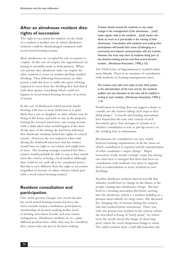## **After an almshouse resident dies: rights of succession**

The right to succession for relatives on the death of a resident is another area in which almshouse residents could be disadvantaged compared with social rented housing tenants.

Most almshouses are occupied by sole occupants or couples. In the case of couples, the 'appointment' (ie, letting) is normally made to both partners. When one partner dies, almshouse rules can require the other resident to move to another (perhaps smaller) dwelling. Thus, following bereavement, an older person could also have to suffer the upset of being required to move from the dwelling they had shared with their spouse, something which could not happen in social rented housing because of security of tenure.

In the case of almshouses which provide family housing with two or more bedrooms, it is quite likely that a son or daughter or other relative may be living in the house and wish to stay in the property. During the research interviews, one young woman with a child asked what would happen if she died. At the time of the letting, she had been informed that almshouse residents lacked the rights of council tenants. However, she was surprised when told during the fieldwork interview that her relative would have no right to succession, and might have to leave. The housing manager reassured her that a relative would probably be able to stay, as they would meet the criteria of being a local resident (although they could be too well off to be considered 'poor'). But this is very different from the right to succession (regardless of income or other criteria) which goes with a social rented housing tenancy.

## **Resident consultation and participation**

One of the greatest changes over recent decades for social rented housing tenants has been the move towards tenant consultation, participation, membership of decision-making bodies (such as housing association boards) and even tenant management. Almshouse residents are in a quite different position here: while they may be consulted, they cannot take any part in decision making:

*Trustees should consult the residents on any major change in the management of the almshouses ... [and] make regular visits to the residents ... [and] involve residents as much as is practicable in the running of their almshouses. Consultation with residents and seeking their participation will benefit their sense of belonging to a community and improve communication with the trustees. However, this must stop short of residents being part of any decision-making process and they cannot become trustees. (Almshouse Association, 1998, p 52)*

The Draft Letter of Appointment is worded rather more bluntly. There is no mention of consultation with residents on housing management issues:

*The trustees may take such steps as they think proper in the administration of the trust and for the residents' welfare, and any alteration to the rules will be notified in writing to each resident. (Almshouse Association, 1998, p 114)*

Notification in writing does not suggest a desire to consult, nor the trustees taking 'such steps as they think proper'. Councils and housing associations have found that the tone and content of such documents gives clear messages to tenants as to whether consultation is real, or just lip-service, so the wording here is unfortunate.

Mechanisms for consultation can vary widely between housing organisations, as do the issues on which consultation is required and the interpretation of what constitutes a 'major change'. Major renovation works would certainly count, but during one interview, it emerged that there had been no consultation with residents over plans to upgrade their accommodation or move residents to new dwellings.

Another almshouse resident interviewed felt that attitudes would have to change in the future, as the people coming into almshouses change. She had lived in a housing association flat before moving into the almshouse, which is a modern building in a pleasant inner suburb of a large town. She discussed the changing role of women during the century (she had worked before retirement). There was only one person now resident in the scheme whom she described as being of "lowly status", by which term she clearly meant the image of 'deserving poor' which the word almsperson brings to mind. The oldest resident there could still remember the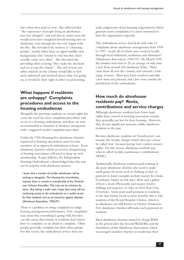days when they paid no rent. She reflected that "the experience of people living in almshouses now has changed", and said that in earlier years she would never have imagined herself moving into an almshouse, even though she was very happy with her flat. She described the trustees as "charming people", mostly ladies from an upper middle-class background, who "intend to visit but they don't actually come very often". She described the prevailing ethos as being "they make the decisions and we accept the charity". She and at least one other resident on the scheme would like to feel more informed and involved about what was going on, as would be their right in other social housing.

## **What happens if residents are unhappy? Complaints procedures and access to the housing ombudsman**

Alongside the growing emphasis on tenant rights has come the need for clear complaints procedures and access to a housing ombudsman, and these are now recommended in *Standards of almshouse management*, with a suggested model complaints procedure.

Under the 1996 Housing Act, almshouse charities registered as housing associations must become members of an approved ombudsman scheme. Even almshouse charities which succeed in deregistering as housing associations will need to keep up such membership. Roger Jefferies, the Independent Housing Ombudsman, acknowledged that this may not be popular with almshouse trustees:

*I know that a number of smaller almshouses will be seeking to deregister. The Housing Act, nevertheless, requires them to remain in membership of the Ombudsman Scheme thereafter. This may not be welcome by some. But, taking a wider view, I hope that many will see continuing access to the ombudsman as a useful service for their residents and as an insurance against disputes. (Almshouse Association, 1996/97)*

There is a problem in using complaints to judge housing management performance. Few complaints may mean that everything is going well, but they can also mean that tenants or residents don't know how to complain, or are afraid to complain. Older people generally complain less than other groups. For this reason, the ombudsman service does not

make judgements about housing organisations which generate more complaints; it is more interested in how the organisation responds.

The ombudsman service had dealt with only 13 complaints about almshouse management from 1994 to 1997, "nearly all of which were resolved locally ... through local settlement, mediation and arbitration" (Almshouse Association, 1996/97). By March 1999 the number had risen to 20, an average of only four a year from around 600 almshouse RSLs. These came from all over the country and covered a wide range of issues. Most have been resolved amicably, a few were not pursued, and a few were outside the jurisdiction of the ombudsman.

### **How much do almshouse residents pay? Rents, contributions and service charges**

Although almshouse residents have fewer legal rights than council or housing association tenants, they generally pay less for their housing. However, they do pay significant amounts, unlike almshouse residents in the past.

Because almshouse residents are 'beneficiaries', not tenants, the weekly charges which they pay cannot be called 'rent', because paying 'rent' confers tenancy rights. For this reason, almshouse residents pay what is called 'weekly maintenance contributions' (WMC).

Traditionally, almshouse residents paid nothing at all; many almshouse charities also used to make small grants for items such as clothing or fuel, or payment in kind: examples include money for cloaks (Corsham), 'butter on fish days', flour and a gallon of beer a week (Plymouth) and money (twelve shillings and sixpence, or 62p) on New Year's Day (Tiverton). Some paid small pensions to residents, in the days before social security benefits: this is why residents of the Royal Hospital, Chelsea, which is an almshouse, are still known as Chelsea Pensioners. Few almshouse charities still make such payments to residents.

Most almshouse charities started to charge WMC in the period after the Second World War and the foundation of the Almshouse Association, which encouraged member charities to modernise their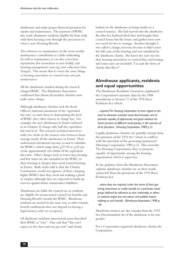almshouses and make proper financial provision for repairs and maintenance. The payment of WMC also made almshouse residents eligible for State help with their housing costs through the precursors to what is now Housing Benefit.

The reference to maintenance in the term weekly maintenance contribution is a little misleading. As well as maintenance, it can also cover loan repayments (for renovation or new-build), and housing management costs (eg, rent collection Giro charges). This means that it covers the same things as housing association or council rents, not just maintenance.

All the almshouses studied during the research charged WMC. The Almshouse Association confirmed that almost all member charities now make some charge.

Although almshouse charities seek the Rent Officer's informal assessment of the 'equivalent fair rent', to assist them in determining the level of WMC, they often choose to charge less. For example, the new almshouses in Totnes (referred to in Chapter 2) charge only half the equivalent fair rent level. The research included interviews with two clerks to the trustees who between them manage nearly all the almshouses in Exeter. Their endowment investment income is used to subsidise the WMCs, which range from  $\text{\emph{f}}(27.50 \text{ to } \text{\emph{f}}(42 \text{ per}))$ week, approximately two thirds of the equivalent fair rents. Other charges such as water rates, heating and hot water are also included in the WMC, so their housing is cheaper than social rented housing in Exeter. Both clerks told us that the Charity Commission would not approve of them charging higher WMCs than they need and making a profit or surplus, although they are expected to build up reserves against future maintenance liabilities.

Almshouses are liable for council tax, so residents are eligible for means-tested council tax benefit, and Housing Benefit towards the WMC. Almshouse residents are treated in the same way as other tenants; benefit entitlement does not depend on having a legal tenancy, only on occupancy.

Of almshouse residents interviewed, most described their WMC as "rent". One said that "You can't expect to live here and not pay rent" and clearly

looked on the almshouse as being similar to a council tenancy. She had moved into the almshouse flat after her husband died; they had bought their council house but the house and garden were now too much for her to manage. Another thought it was called a charge, not rent, because it didn't meet the full costs of the housing and was subsidised by the almshouse charity. She knew the rent was less than housing association or council flats, and heating and water rates are included: "I accept the form of charity that this is".

#### **Almshouse applicants, residents and equal opportunities**

The Almshouse Residents' Guarantee emphasised the Corporation's statutory duty by the 1988 amendment to Section 71 of the 1976 Race Relations Act which:

*... requires The Housing Corporation to have regard to the need to eliminate unlawful racial discrimination and to promote equality of opportunity and good relations between persons of different racial groups, in the exercise of all its functions. (Housing Corporation, 1989, p 5)*

Legally, almshouse charities are partially exempt from the provision of the 1976 Act "where it conflicts with the provision of the governing instrument" (Housing Corporation, 1989, p 5). This overrides The Housing Corporation's duty to promote equality of opportunity among the housing organisations which it supervises.

As the guidance from the Almshouse Association explains, almshouse charities are, in their words, 'protected' from the provisions of the 1976 Race Relations Act:

*... where they are required, under the terms of their governing instrument, to confer benefit on a particular racial group (defined by reference to race, nationality, or ethnic or national origins but not colour) and publish notices relating to such benefit. (Almshouse Association, 1998, p 18)*

Almshouse trustees are also exempt from the 1975 Sex Discrimination Act if the almshouse is for one gender.

For a Corporation-registered almshouse charity, the Corporation: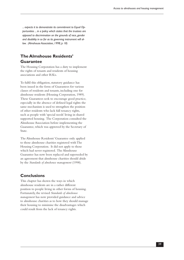*... expects it to demonstrate its commitment to Equal Opportunities ... in a policy which states that the trustees are opposed to discrimination on the grounds of race, gender and disability in so far as its governing instrument will allow. (Almshouse Association, 1998, p 18)*

### **The Almshouse Residents' Guarantee**

The Housing Corporation has a duty to implement the rights of tenants and residents of housing associations and other RSLs.

To fulfil this obligation, statutory guidance has been issued in the form of Guarantees for various classes of residents and tenants, including one for almshouse residents (Housing Corporation, 1989). These Guarantees seek to encourage good practice, especially in the absence of defined legal rights: the same mechanism is used to strengthen the position of other residents who lack full tenancy rights, such as people with 'special needs' living in shared supported housing. The Corporation consulted the Almshouse Association before implementing the Guarantee, which was approved by the Secretary of State.

The Almshouse Residents' Guarantee only applied to those almshouse charities registered with The Housing Corporation. It did not apply to those which had never registered. The Almshouse Guarantee has now been replaced and superseded by an agreement that almshouse charities should abide by the *Standards of almshouse management* (1998).

#### **Conclusions**

This chapter has shown the ways in which almshouse residents are in a rather different position to people living in other forms of housing. Fortunately, the revised *Standards of almshouse management* has now provided guidance and advice to almshouse charities as to how they should manage their housing to minimise the disadvantages which could result from the lack of tenancy rights.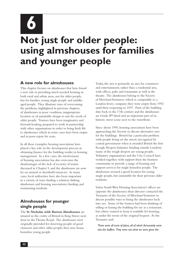**6**

# **Not just for older people: using almshouses for families and younger people**

#### **A new role for almshouses**

This chapter focuses on almshouses that have found a new role in providing much-needed housing in both rural and urban areas, not for older people, but for families, young single people and middleaged people. They illustrate ways of overcoming the problems, highlighted in previous chapters, of almshouses in poor condition, inappropriate location or of unsuitable design to suit the needs of older people. Trustees have been imaginative and forward-looking, prepared to work in partnership with other organisations in order to bring fresh life to almshouses which in some cases have been empty and in poor repair for years.

In all these examples, housing associations have played a key role: in the development process; in obtaining finance for the building works; in housing management. In a few cases, the involvement of housing associations has also overcome the disadvantages of the lack of security of tenure discussed in Chapter 5, and the almshouses are now let on assured or shorthold tenancies. In many cases, local authorities have also been important in a variety of ways: finding a solution; linking almshouses and housing associations; funding; and nominating residents.

## **Almshouses for younger single people**

The **St Nicholas with Burton Almshouses** are situated in the centre of Bristol in King Street, next door to the Theatre Royal. The almshouses were originally provided for deserving people of good character and other older people; they now house homeless young people.

Today, the area is primarily an area for commerce and entertainment, rather than a residential area, with offices, pubs and restaurants as well as the theatre. The almshouses belong to the Society of Merchant Venturers, which is comparable to a London livery company; they were empty from 1992 until their reopening in 1997. Parts of the building date back to the 17th century and the almshouses are Grade II\* listed and an important part of an historic street scene next to the waterfront.

Since about 1990, housing associations have been approaching the Society to discuss alternative uses for the buildings. Bristol has a particular problem with people living on the streets (recognised by central government when it awarded Bristol the first Rough Sleepers Initiative funding outside London); many of the rough sleepers are young people. Voluntary organisations and the City Council have worked together, with support from the business community, to provide a range of housing and support services for single homeless people. The almshouses seemed a good location for young single people, but unsuitable for their previous older residents.

Solon South West Housing Association's offices are opposite the almshouses; their director contacted the Treasurer of the Society of Merchant Venturers to discuss possible ways to bring the almshouses back into use. Some of the trustees had been thinking of selling or leasing the building for use as a restaurant, but others wanted to keep it available for housing, as under the terms of the original bequest. As the Treasurer said:

*There were all sorts of plans, all of which fortunately went into the buffers. They were not what we were given the*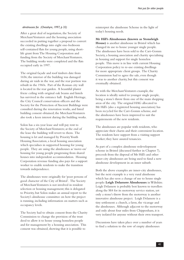#### *almshouses for. (Chesshyre, 1997, p 32)*

After a great deal of negotiation, the Society of Merchant Venturers and the housing association succeeded in putting together a proposal to convert the existing dwellings into eight one-bedroom self-contained flats for young people, using shortlife grant from The Housing Corporation and funding from the Society of Merchant Venturers. The building works were completed and the flats occupied early in 1997.

The original façade and roof timbers date from 1656; the interior of the building was damaged during air raids in the war, and the rear portion was rebuilt in the 1960s. Part of the Roman city wall is located in the rear garden. A beautiful plaster frieze ceiling with original oak beams and lintels has survived in the entrance hall. English Heritage, the City Council conservation officers and the Society for the Protection of Ancient Buildings were consulted during the renovation works, and listed building consent obtained; the Merchant Venturers also took a keen interest during the building works.

Solon has a six-year lease and will pay rent to the Society of Merchant Venturers; at the end of the lease the building will revert to them. The housing is let and managed by Priority Youth Housing Association, a local housing association which specialises in supported housing for young people. They are using the almshouses as 'move-on' housing for young people progressing from shared houses into independent accommodation. Housing Corporation revenue funding also pays for a support worker to enable residents to make the transition towards independence.

The almshouses were originally for 'poor persons of good character of the City of Bristol'. The Society of Merchant Venturers is not involved in resident selection or housing management; this is delegated to Priority, but Solon makes an annual report to the Society's almshouse committee on how the project is running, including information on matters such as occupancy levels.

The Society had to obtain consent from the Charity Commission to change the provision of the trust deed to allow it to house young homeless people and for management by a housing association. This consent was obtained, showing that it is possible to

reinterpret the almshouse Scheme in the light of today's housing needs.

**Mr Hill's Almshouses (known as Stoneleigh House)** is another almshouse in Bristol which has changed its use to house younger single people. The almshouses have been sold to the Carr-Gomm Society, a housing association and charity specialising in housing and support for single homeless people. This move is in line with current Housing Corporation policy to re-use existing dwellings for more appropriate client groups. The Charity Commission had to agree the sale, even though it was to another charity, but this consent was eventually obtained.

As with the Merchant Venturers example, the location is ideally suited to younger single people, being a stone's throw from one of the main shopping areas of the city. The original HAG allocated to Mr Hill's (also a registered housing association) has been recycled for the Carr-Gomm scheme, and the almshouses have been improved to suit the requirements of the new residents.

The almshouses are popular with residents, who appreciate their charm and their convenient location. The residents have support from a visiting support worker; they have assured tenancies.

As part of a complex almshouse redevelopment scheme in Bristol (discussed further in Chapter 7), proceeds from the disposal of Mr Hill's and other inner-city almshouses are being used to fund a new almshouse development in an inner suburb.

Both the above examples are inner-city almshouses, but the next example is a very rural almshouse which has also seen a change of use to house single people: **Leigh Delamere Almshouses** in Wiltshire. Leigh Delamere is probably best known to travellers along the M4 for its motorway service station, yet only a stone's throw from the motorway is another innovative almshouse project. Leigh Delamere is a tiny settlement: a church, a farm, the vicarage and the almshouses. Although adjacent to the motorway and only about four miles from Chippenham, it is very isolated for anyone without their own transport.

Discussions have taken place over a number of years to find a solution to the row of empty almshouses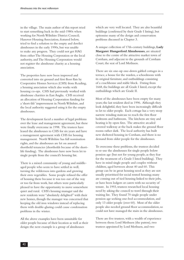in the village. The main author of this report tried to start something back in the mid-1980s when working for North Wiltshire District Council; Hanover Housing Association, featured below, tried to find a solution to the empty and derelict almshouses in the early 1990s, but was unable to make any progress. They could not get HAG from either The Housing Corporation or the local authority, and The Housing Corporation would not register the almshouse charity as a housing association.

The properties have now been improved and converted into six ground and first floor flats by Cooperative Homes Services (CHS) from Reading, a housing association which also works with housing co-ops. CHS had previously worked with almshouse charities in East Anglia. CHS received an allocation of Housing Corporation funding for a 'short-life' improvement in North Wiltshire, and the local authority suggested using it for the empty almshouses.

The development faced a number of legal problems over the lease and management agreement, but these were finally overcome in 1998. The trustees have leased the almshouses to CHS for six years and have a management agreement with CHS for housing management. North Wiltshire has full nomination rights, and the almshouses are let on assured shorthold tenancies (shortholds because of the shortlife funding). The almshouses have now been let to single people from the council's housing list.

There is a mixed community of young and middleaged people who seem to have settled in well, turning the wilderness into gardens and growing their own vegetables. Some people refused the offer of housing there because it was too out of the way or too far from work, but others were particularly pleased to have the opportunity to move somewhere quiet and rural. CHS's housing manager said the new residents were "absolutely delighted" with their new homes, though the manager was concerned that keeping the old iron windows instead of replacing them with double-glazing could cause condensation problems in the winter.

All the above examples have been unsuitable for older people because of their location as well as their design: the next example is a group of almshouses

which are very well located. They are also beautiful buildings (confirmed by their Grade I listing), but epitomise many of the design and conservation problems discussed in Chapter 3.

A unique collection of 17th-century buildings, **Lady Margaret Hungerford Almshouses**, are situated close to the centre of the attractive market town of Corsham, and adjacent to the grounds of Corsham Court, the seat of Lord Methuen.

There are six one-up one-down gabled cottages in a terrace, a house for the warden, a schoolroom with its original furniture, and outbuildings consisting of a coachhouse and stable block. Dating from 1668, the buildings are all Grade I listed, except the outbuildings which are Grade II.

Most of the almshouses have been empty for many years; the last resident died in 1996. Although they look delightful, they have been increasingly difficult to let to older people. Each cottage has a very steep narrow winding staircase to reach the first floor bedroom and bathroom. The kitchens are tiny and heating is by open fires. The attractive arcaded covered walkway at the back makes the ground floor rooms rather dark. The local authority has built new sheltered housing in Corsham, and there is no demand from older people for the almshouses.

To overcome these problems, the trustees decided to re-use the almshouses for single people below pension age (but not for young people, as they fear for the treatment of a Grade I listed building). They have in mind single people and couples without children, aged between about 40 and 60. This group can be in great housing need as they are not usually prioritised for social rented housing; many are coming out of tied housing linked to their jobs, or have been lodgers or carers with no security of tenure. In 1993, trustees researched local housing need by asking the council to trawl through their waiting list. They found 70 single people under pension age seeking one-bed accommodation, and only 13 older people (over 60). Most of the older people also needed ground floor accommodation, so could not have managed the stairs in the almshouses.

There are five trustees, with a wealth of experience between them: Lord Methuen (the patron), two trustees appointed by Lord Methuen, and two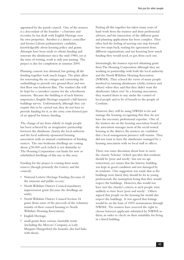appointed by the parish council. One of the trustees is a descendant of the founder – a barrister and recorder, he has dealt with English Heritage over his own properties. Another is a district councillor and former Labour parliamentary candidate, knowledgeable about housing policy and grants. Attempts have been made to obtain funding and renovate the almshouses since the mid-1980s, yet at the time of writing, work is only just starting. The project is due for completion in summer 2000.

Planning consent was obtained, but getting all the funding together took much longer. The plans allow for renovating the six cottages and converting the outbuildings to provide two ground floor and two first floor one-bedroom flats. The warden's flat will be kept for a caretaker/curator for the schoolroom museum. Because the building is of such historic importance, English Heritage required a full historic buildings survey. Unfortunately, although they can require this to be carried out, they do not have to provide funding for it, so the extra costs formed part of an appeal for lottery funding.

The change of use from elderly to single people has been achieved by an imaginative partnership between the almshouse charity, the local authority and the local authority-sponsored housing association with an unusual combination of funding sources. The one-bedroom dwellings are costing about  $\angle 50,000$  each (which is not dissimilar to The Housing Corporation cost limits for new or refurbished dwellings of this size in this area).

Funding for the project is coming from many sources (though primarily the Lottery and the council):

- • National Lottery Heritage Funding (because of the museum and public access);
- North Wiltshire District Council mandatory improvement grant (because the dwellings are unfit);
- North Wiltshire District Council Section 24 grant (from some of the proceeds of the voluntary transfer of their council housing to North Wiltshire Housing Association);
- • English Heritage;
- • small grants from various charitable trusts (including the Mercers' Company, as Lady Margaret Hungerford, the founder, also had links with them).

Putting all this together has taken many years of hard work from the trustees and their professional advisers, and the interaction of the different grant and planning applications has been complex. They often had the feeling of moving one step forward but two steps back, waiting for agreement from different organisations, and not knowing how much funding they would need, or get, from each one.

Interestingly, the trustees rejected obtaining grant from The Housing Corporation although they are working in partnership with both the local authority and the North Wiltshire Housing Association (NWHA). They echoed the views of many people involved in running almshouses (clerks, trustees and others) when they said that they didn't want the almshouses 'taken over' by a housing association; they wanted them to stay under the control of local people and to be of benefit to the people of Corsham.

However, they will be using NWHA to let and manage the housing, recognising that they do not have the necessary professional expertise. One of the trustees sits on the housing association board; as the association manages most of the social rented housing in the district, the trustees are confident that a local management presence will remain. They did not want to have the almshouses managed by a housing association with no local staff or offices.

There was some discussion about how to meet the charity 'Scheme' (which specifies that residents should be 'poor and needy', but sets no age restriction), yet ensure that the historic building was kept in good condition and not damaged by its residents. One suggestion was made that as the buildings were listed, they should be let to young professionals, the assumption being that they would respect the buildings. However, this would not have met the charity's criteria as such people were unlikely to have been 'poor and needy'. Others argued that people on the housing list would also respect the buildings. It was agreed that lettings would be on the basis of 100% nominations through NWHA. The trustees have reserved the right to choose between applicants submitted by NWHA to them, in order to check on their suitability for living in a listed building.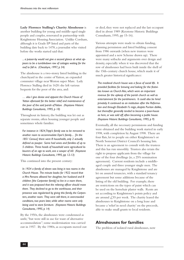**Lady Florence Stalling's Charity Almshouse** is another building for young and middle-aged single people and couples, renovated in partnership with Knightstone Housing Association. Unlike Corsham, although it is Grade II\* listed and parts of the building date back to 1478, a journalist who visited before the works started said that:

#### *... a passer-by would not give a second glance at what appears to be a tumbledown row of cottages waiting for the roof to fall in. (Chesshyre, 1997, p 34)*

The almshouse is a two-storey listed building in the churchyard in the centre of Yatton, an expanded commuter village near Weston super Mare. Lady Florence Stalling died in 1620: she left various bequests for the poor of the area, and:

*… also I give devise and appoint the Church House of Yatton aforesaid for the better relief and maintenance of the poor of the said parish of Yatton. (Keystone Historic Buildings Consultants, 1995, p 10)*

Throughout its history, the building was let out as separate rooms, often housing younger people and sometimes whole families:

*For instance in 1824, Tripp's family was to be removed to another room to accommodate Dyer's family.... [In the 1851 Census] there were 8 households, only 2 actually defined as pauper. Some had wives and families of up to 5 children. Three heads of household were agricultural labourers of an age to work, one a sawyer of 60. (Keystone Historic Buildings Consultants, 1995, pp 12-13)*

This continued into the present century:

*In 1924 a family of eleven was living in two rooms in the Church House. The minute books for 1922 record that a Mrs Parsons allowed her daughter, her husband and 8 children [the Carpenter family] to live in a room there, and it was proposed that the relieving officer should move them. They declined to go to the workhouse, and their presence was regularised by giving this family, the Carpenters, another room. They were still there, in overcrowded conditions, two years later, while other rooms were only being used to store furniture. (Keystone Historic Buildings Consultants, 1995, p 14)*

By the 1950s, the almshouses were condemned as unfit, "but were still in use for want of alternative accommodation"; some modernisation was carried out in 1957. By the 1980s, as occupants moved out or died, they were not replaced and the last occupant died in about 1989 (Keystone Historic Buildings Consultants, 1995, pp 15-16).

Various attempts were made to obtain funding, planning permission and listed building consent from 1986 onwards (when new trustees were appointed and a new Scheme drawn up). There were many setbacks and arguments over design and density, especially when it was discovered that the row of almshouses had been built inside the shell of the 15th-century church house, which made it of much greater historical significance:

*The medieval church house was a focus of social life. It provided facilities for brewing and baking for the festivities known as Church Ales, which were an important revenue for the upkeep of the parish church as well as entertainment for the parishioners. It could also be hired privately. It continued as an institution after the Reformation and through Elizabeth I's reign, despite Puritan dislike, but thereafter generally tended to become a poor-house as here, or was sold off, often becoming a public house. (Keystone Historic Buildings Consultants, 1995, p 9)*

Eventually, all the necessary permissions and funding were obtained and the building work started in early 1998, with completion by August 1998. There are four flats, let to people on either Knightstone's or North Somerset District Council's housing lists. There is an agreement to consult with the trustees and this has run smoothly. Trustees also retain the right to propose applicants from the village for one of the four dwellings (ie, a 25% nomination agreement). Current residents include a middleaged couple and three younger single men. The almshouses are managed by Knightstone and are let on assured tenancies, with a standard tenancy agreement but some additions because of the listing of the old building. For example, there are restrictions on the types of paint which can be used on the horsehair plaster walls. Rents are set according to Knightstone's points policy and are around  $\angle$ 55 per week. The charity leased the almshouses to Knightstone on a long lease and became a 'relief in need charity' on the proceeds, able to make small grants to local residents.

#### **Almshouses for families**

The problem of isolated rural almshouses, now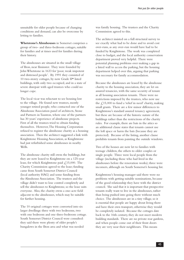unsuitable for older people because of changing conditions and demand, can also be overcome by letting to families.

**Whetstone's Almshouses** in Somerset comprises a group of two- and three-bedroom cottages, suitable for families and at times used for families during their history.

The almshouses are situated in the small village of Ilton, near Ilminster. They were founded by John Whetstone in 1633 for 'poor, weak impotent and distressed people'. By 1991 they consisted of 10 two-storey cottages, by now Grade II\* listed buildings, with only two occupied, and in a state of severe disrepair with aged trustees who could no longer cope.

The local vicar was reluctant to see housing lost to the village. He found new trustees, mostly younger retired people, who contacted one of the Almshouse Association panel of architects, Stone and Partners in Taunton, where one of the partners has 30 years' experience of almshouse projects. First of all the trustees tried to obtain funding themselves. However, The Housing Corporation refused to register the almshouse charity as a housing association. Then the architect suggested a link with Knightstone Housing Association, as Knightstone had just refurbished some almshouses in nearby Wells.

The almshouse charity still owns the buildings, but they are now leased to Knightstone on a 125-year lease, for which Knightstone paid  $\mathcal{L}$ , 15,000. The Charity Commission agreed to the lease; funding came from South Somerset District Council (local authority HAG) and some funding from the Almshouse Association. The trustees and the village didn't want to lose control completely and sell the almshouses to Knightstone, so the lease suits everyone. Also, the charity owns a one-acre field adjacent to the almshouses, which may be suitable for further housing.

The 10 original cottages were converted into six larger dwellings: three with two bedrooms, two with one bedroom and one three-bedroom cottage. South Somerset District Council were consulted: they said there were plenty of older people's bungalows in the Ilton area and what was needed

was family housing. The trustees and the Charity Commission agreed to this.

The architect insisted on a full structural survey to see exactly what had to be done and to avoid cost over-runs, as any over-run would have had to be funded by Knightstone. The work was completed close to budget, and the local authority conservation department proved very helpful. There were potential planning problems over making a gap in a listed wall to access the parking, but the housing department helped over this, arguing that parking was necessary for family accommodation.

Because the almshouses are leased by the almshouse charity to the housing association, they are let on assured tenancies, with the same security of tenure as all housing association tenants. There were no restrictions imposed by the trustees, who now use the  $\text{\textsterling},15,000$  to fund a 'relief in need' charity, making small grants. There are a few minor differences to Knightstone's standard assured tenancy agreement, but these are because of the historic nature of the buildings rather than the restrictions of the charity rules. For example, there are bats in the attics so an additional clause states that tenants cannot use the loft space or harm the bats (because they are protected). Because of the listing, another clause prohibits tenants from painting the outside windows.

Two of the houses are now let to families with teenage children, the others to older couples or single people. Three were local people from the village (including those who had lived in the almshouses before the renovation works); three were incomers, although on South Somerset's housing list.

Knightstone's housing manager said there were no problems with getting suitable nominations, because of the good relationship they have with the district council. She said that it is important that prospective tenants really want to live in the almshouses, rather than being pushed into going there without much choice. The almshouses are in a tiny village, so it is essential that people are happy about living there and have their own transport, otherwise they would be completely isolated. Because the cottages date back to the 16th century, they do not meet modern building standards. There are no private rear gardens, and when people come out of their front doors they are very near their neighbours. This means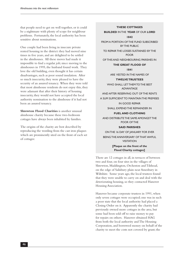that people need to get on well together, or it could be a nightmare with plenty of scope for neighbour problems. Fortunately, the local authority has been sensitive about nominations.

One couple had been living in insecure private rented housing in the district: they had moved nine times in five years, and are delighted to be settled in the almshouses. All these moves had made it impossible to find a regular job; since moving to the almshouses in 1995, the husband found work. They love the old building, even thought it has certain disadvantages, such as poor sound insulation. After so much insecurity, they were pleased to have the security of an assured tenancy. When they were told that most almshouse residents do not enjoy this, they were adamant that after their history of housing insecurity, they would not have accepted the local authority nomination to the almshouse if it had not been an assured tenancy.

**Shrewton Flood Charities** is another unusual almshouse charity because these two-bedroom cottages have always been inhabited by families.

The origins of the charity are best described by reproducing the wording from the cast iron plaques which are prominently sited on the front of each set of cottages:

#### **THESE COTTAGES**

**BUILDED** IN THE **YEAR** OF OUR **LORD 1842**

FROM A PORTION OF THE FUND SUBSCRIBED BY THE PUBLIC

TO REPAIR THE LOSSES SUSTAINED BY THE POOR

OF THIS AND NEIGHBOURING PARISHES IN

#### **THE GREAT FLOOD OF**

**1841**

ARE VESTED IN THE NAMES OF

#### **TWELVE TRUSTEES**

WHO SHALL LET THEM TO THE BEST ADVANTAGE

AND AFTER RESERVING OUT OF THE RENTS

A SUM SUFFICIENT TO MAINTAIN THE PREMISES

IN GOOD REPAIR

SHALL EXPEND THE REMAINDER IN

#### **FUEL AND CLOTHING**

AND DISTRIBUTE THE SAME AMONGST THE POOR OF THE

#### **SAID PARISHES**

ON THE 16 DAY OF JANUARY FOR EVER BEING THE ANNIVERSARY OF THAT AWFUL **VISITATION [Plaque on the front of the Flood Charity cottages]**

There are 12 cottages in all, in terraces of between two and four, on four sites in the villages of Shrewton, Maddington, Orcheston and Tilshead, on the edge of Salisbury plain near Amesbury in Wiltshire. Some years ago, the local trustees found that they were unable to carry on and deal with the deteriorating housing, so they contacted Hanover Housing Association.

Hanover became corporate trustees in 1991, when only seven cottages were occupied; one was in such a poor state that the local authority had placed a Closing Order on it. Apparently the charity had previously owned more cottages in the area, but some had been sold off to raise money to pay for repairs on others. Hanover obtained HAG from both the local authority and The Housing Corporation, and borrowed money on behalf of the charity to meet the costs not covered by grant; the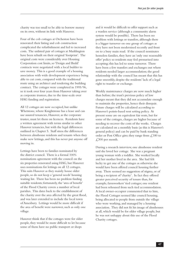charity was too small to be able to borrow money on its own, without its link with Hanover.

Four of the cob cottages at Orcheston have been renovated: their listing and cob construction complicated the refurbishment and led to increased costs. The unlisted pair of cottages at Maddington have been rebuilt on their original 'footprint'. The original costs were considerably over Housing Corporation cost limits, so 'Design and Build' contracts were negotiated with a local builder to save money. This is a good example of a housing association with wide development experience being able to cut costs, compared with the traditional route using an architect and tendering the building contract. The cottages were completed in 1995/96, so it took over four years from Hanover taking over as corporate trustees, due to the time-scale over HAG funding and registration.

All 12 cottages are now occupied, but unlike Whetstone, where Knightstone has a lease and can use assured tenancies, Hanover, as the corporate trustee, must let them on licences. Residents have a written agreement with terms similar to other Hanover tenancies, but with the legal differences outlined in Chapter 5. Staff stress the differences between almshouse residents and tenants when they make new lettings, and this has never put anyone off moving in.

Lettings have been to families nominated by the district council. There is a formal 100% nominations agreement with the council on the six properties renovated using HAG, but Hanover uses nominations for lettings on all 12 cottages. This suits Hanover as they mainly house older people, so do not keep a 'general needs' housing waiting list. There has been no problem finding suitable residents; fortunately, the 'area of benefit' of the Flood Charity covers a number of local parishes. This dates back to the establishment of the charity over the area affected by the great flood, and was later extended to include the local town of Amesbury. Lettings would be more difficult if the area of benefit were narrower, such as only one village.

Hanover think that if the cottages were for older people, they would be more difficult to let because some of them have no public transport or shops

and it would be difficult to offer support such as a warden service (although a community alarm system would be possible). There has been no problem with lettings or transfers, although there is a bigger turnover on one group of cottages as they have not been modernised recently and front on to a busy main road. If the council nominates homeless families, they have an 'only one reasonable offer' policy so residents may feel pressurised into accepting; this has led to some turnover. There have been a few transfers and exchanges out where residents needed larger accommodation; the good relationship with the council has meant that this has gone smoothly, despite the residents' lack of a legal right to transfer or exchange.

Weekly maintenance charges are now much higher than before; the trust's previous policy of low charges meant that they did not accumulate enough to maintain the properties, hence their disrepair. Future charges will be calculated according to Hanover's points-based rent setting policy. At present some are on equivalent fair rents, but for some of the cottages, charges are higher because of needing to recover the costs of the works. Charges are calculated on a monthly basis (as this is Hanover's general policy) and can be paid by bank standing order or Post Office giro; they range from  $\mathcal{L}$ , 180 to £,300 per month.

During a research interview, one almshouse resident said she loved her cottage. She was a pregnant young woman with a toddler. She worked locally and her mother lived in the area. She had felt lucky to get one of the cottages as otherwise she would have been offered council housing further away. There seemed no suggestion of stigma, or of being a recipient of 'charity'. In fact they offered greater perceived security of tenure than, for example, farmworkers' tied cottages; one resident had been rehoused from such tied accommodation. A local owner-occupier commented that to him, the Flood Cottages seemed like council housing, being allocated to people from outside the village who were working, and managed by a housing association. They did not fit his image of almshouses at all, which would be for older village people, but he was not unhappy about this use of the Flood Charity cottages.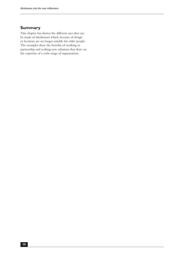#### **Summary**

This chapter has shown the different uses that can be made of almshouses which, because of design or location, are no longer suitable for older people. The examples show the benefits of working in partnership and seeking new solutions that draw on the expertise of a wide range of organisations.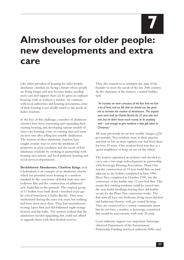**7**

# **Almshouses for older people: new developments and extra care**

Like other providers of housing for older people, almshouse charities are facing a future where people are living longer and may become frailer, needing more care and support than can be given in ordinary housing, with or without a warden. In common with local authorities and housing associations, some of their housing is not ideally suited to the needs of frailer residents.

In the face of this challenge, a number of almshouse charities have been renovating and expanding their existing housing, and developing various models of extra-care housing, some on existing sites and some on new sites after selling less suitable almshouses. The trustees of these almshouse charities have sought creative ways to solve the problems of properties in poor condition and the needs of frail almshouse residents by working in partnership with housing associations, and local authority housing and social services departments.

**Bucklehaven Almshouses, Charlton Kings**, near Cheltenham, is an example of an almshouse charity which has provided more housing to a modern standard by the conversion of bedsit units into onebedroom flats and the construction of additional new-build flats in the grounds. The original group of 11 bedsits were built about a hundred years ago by a local benefactor, Charles Buckle. They were modernised during the inter-war years, but nothing had been done since then. They had unsatisfactory heating (open fires and old-fashioned night storage heaters) and hip baths. The trustees realised that the almshouses needed upgrading, but could not afford to upgrade them with their limited reserves.

They also wanted to re-interpret the aims of the founder to meet the needs of the late 20th century. As the chairman of the trustees, a retired builder, said:

*"As trustees we were conscious of the fact that we had a lot of land, and we felt that we should use this good site to increase the number of almshouses. The original ones were built by Charles Buckle for 55 year olds and over, but he didn't leave much money to do anything with – just enough to give residents a little gift token at Christmas."*

All were previously let on low weekly charges  $(2,56)$ per month). Two residents were in their nineties, and four or five in their eighties; one had lived there for over 30 years. One resident lived rent-free as a 'good neighbour' to keep an eye on the others.

The trustees appointed an architect and decided to carry out a two-stage redevelopment in partnership with Sovereign Housing Association. Phase One was the construction of 14 new-build flats on land adjacent to the bedsits, completed in June 1996. Phase Two, completed in October 1996, was the conversion of the bedsits into 12 one-bed flats. This meant that existing residents could be moved into the new-build dwellings, leaving their old bedsits vacant for the Phase Two conversion works. The flats now all have one bedroom, living room, kitchen and bathroom/shower, with gas central heating. They are connected to a central community alarm but do not have a warden, as Sovereign considered this would be uneconomic with only 26 units.

Local authority support was important: Sovereign obtained Department of the Environment Partnership Funding and local authority HAG, and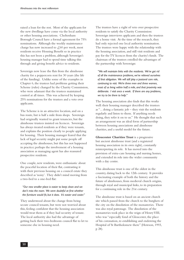raised a loan for the rest. Most of the applicants for the new dwellings have come via the local authority or other housing associations. Cheltenham Borough Council have a formal agreement for 75% nominations. Although the weekly maintenance charge has now increased to  $\angle 60$  per week, most residents receive Housing Benefit so in practice this has not been a problem, although Sovereign's housing manager had to spend time talking this through and giving benefit advice to residents.

Sovereign now lease the flats from the almshouse charity for a peppercorn rent for 30 years (the life of the funding). Unlike some of the examples in Chapter 6, the trustees had problems getting their Scheme (rules) changed by the Charity Commission, who were adamant that the trustees maintained control at all times. This was achieved by keeping 25% nominations for the trustees and a veto over applicants.

The Scheme is in an attractive location, and on a bus route, but is half a mile from shops. Sovereign had originally wanted to grant tenancies, but the almshouse trustees insisted on licences. Sovereign has always treated residents as if they were tenants, and explains the position clearly to people applying for housing. Their housing manager feared that the lack of legal security might put some people off accepting the almshouses, but this has not happened in practice; perhaps the involvement of a housing association as managing agent has also reassured prospective residents.

One couple, new residents, were enthusiastic about the peaceful location of their flat, contrasting it with their previous housing on a council estate they described as 'noisy'. They didn't mind moving from a two-bed to a one-bed flat:

#### *"Our new smaller place is easier to keep clean and we don't miss the room. We were doubtful at first whether the furniture would fit, but it does. It's easier and cosier."*

They understood about the change from being secure council tenants, but were not worried about this, feeling confident that the housing association would treat them as if they had security of tenure. The local authority also had the advantage of getting back their two-bedroom council flat to let to someone else in housing need.

The trustees have a right of veto over prospective residents to satisfy the Charity Commission: Sovereign interviews applicants and then the trustees do a home visit. At the time of the research, they had only rejected one local authority nomination. The trustees were happy with the relationship with the housing association, and still visit residents and pay for the TV licences from the charity's funds. The chairman of the trustees extolled the advantages of the partnership with Sovereign:

*"We will maintain links with the residents. We've got rid of all the maintenance problems, we've relieved ourselves of that obligation. We will still play a pastoral care role, continuing to visit. We're three men and three women, most of us living within half a mile, and that proximity was deliberate. I visit once a week. If there are any problems, we try to be there to help."*

The housing association also finds that this works well: their housing manager described the trustees as "... doing a fantastic job – they visit the residents regularly and listen to them. If anything needs doing, they refer it on to us." He thought that such an arrangement was an ideal form of partnership between housing associations and almshouse charities, and a useful model for the future.

**Gloucester Charities Trust** is a progressive but ancient almshouse trust (and a registered housing association in its own right), constantly reinterpreting its role. It has moved into the provision of extra-care housing and nursing homes, and extended its role into the wider community with a day centre.

This almshouse trust is one of the oldest in the country, dating back to the 12th century. It provides a fascinating example of both the history and the future of almshouses, from medieval church origins, through royal and municipal links, to its preparation for a continuing role in the 21st century.

The almshouse trust is based on an ancient church site which passed from the church to the burghers of the city on the dissolution of the monasteries. There was also royal patronage. The dissolution of the monasteries took place in the reign of Henry VIII, who was "especially fond of Gloucester, the place of his coronation, re-establishing and endowing the Hospital of St Bartholomew there" (Howson, 1993, p 28).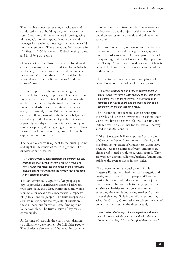The trust has converted existing almshouses and conducted a major building programme over the past 15 years to build new sheltered housing, using Housing Corporation grant. It now owns and manages four sheltered housing schemes, all with 24 hour warden cover. There are about 160 residents in 129 flats. In 1993 it opened a 29-bed nursing home, and in 1996 a day centre.

Gloucester Charities Trust is a large well-endowed charity. It owns investment land, two farms (which are let out), financial investments and commercial properties. Managing the charity's considerable assets takes up about half the director's and the trustees' time.

It would appear that the money is being used effectively for its original purpose. The new nursing home gives priority to state-funded residents who are further subsidised by the trust to ensure the highest standards of care. Private fee-payers are accepted, currently about 15%, when vacancies occur and their payment of the full cost helps make the subsidy to the less well-off possible. So this apparently wealthy charity is putting its money into this development, allowing a higher number of lowincome people into its nursing home. No public capital funding was involved.

The new day centre is adjacent to the nursing home and right in the centre of the trust grounds. The director commented that:

*"... it works brilliantly, cross-fertilising the different groups, bringing the trust alive, providing a meeting ground not only for sheltered residents and others in the community at large, but also to invigorate the nursing home residents in the adjoining building."*

The day centre has a capacity of 25 people per day. It provides a hairdressers, assisted bathroom with Arjo bath, and a large common room, which is suitable for occasional concerts with a capacity of up to a hundred people. The trust accepts social services referrals, but the majority of clients are those in need but for whom State funding is no longer available. The trust subsidy of day care is considerable.

At the time of research, the charity was planning to build a new development for frail older people. The charity is also aware of the need for a scheme for older mentally infirm people. The trustees are anxious not to avoid projects of this type, which could be seen as more difficult, and only take the easy option.

This almshouse charity is growing in expertise and has now moved beyond its original geographical remit. In order to achieve full occupancy levels of its expanding facilities, it has successfully applied to the Charity Commission to widen its area of benefit beyond the boundaries of Gloucester to the whole of the county.

The director believes that almshouses play a role beyond what other social landlords can provide:

*"... a sort of spiritual role and service, centred round a special place. We have a 15th-century chapel, and there is a carol service on there tonight. The trust has been going for a thousand years, and the trustees plan to be continuing for another thousand years."*

The director and trustees are keen to reinterpret their role and use their investments to extend their work: "We have a charter to follow. Recently, for instance, we held a seminar for trustees on the way ahead in the 21st century."

Of the 18 trustees, half are appointed by the city of Gloucester (seven from the local authority and two from the Freemen of Gloucester). Some have been trustees for a number of years, and most are either professional people or recently retired. They are typically doctors, solicitors, bankers, farmers and builders; the average age is in the sixties.

The director, who has a background in Her Majesty's Forces, described them as "energetic and far-sighted ... a good mix of people. When the nursing home started, a doctor and a nurse joined the trustees." He sees a role for larger, professional almshouse charities to help smaller ones by extending their remit and taking smaller charities under their wing. This is one of the reasons they asked the Charity Commission to widen the 'area of benefit' of the trust. As the director said,

*"The trustees desire to provide an expertise and excellence in accommodation and care and help others to follow the example, all for the benefit of those in need."*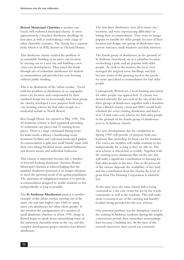**Bristol Municipal Charities** is another citybased, well-endowed municipal charity. It owns approximately a hundred almshouse dwellings on four sites, as well as undertaking a wide range of other charitable activities. The charity has a separate body which is an RSL, known as Orchard Homes.

This almshouse charity tackled the problem of an unsuitable building in an inner-city location by moving out to a new site and building a new extra-care development. They raised the funds through sale of redundant almshouses for student accommodation and provided the new housing without public funding.

This is an illustration of the 'urban exodus'. Faced with the problem of almshouses in an unpopular inner-city location, and compounded by their outdated design for an increasingly frail client group, the charity developed a new purpose-built extracare housing scheme for frail older people in a residential suburb in North Bristol.

Ben Gough House was opened in May 1996. The 40-bedroom scheme is dual registered, providing 30 residential care places and 10 nursing home places. There is a large communal dining room for main meals, a library, a hairdressing room, treatment facilities and a pleasant landscaped garden. Accommodation is split into small 'family' units with their own sitting/breakfast room, assisted bathroom and shower rooms, and individual bedrooms.

This scheme is important because, like a number of forward-looking almshouse charities, Bristol Municipal Charities is acknowledging that the standard almshouse provision is no longer adequate to meet the growing needs of an ageing population. The aspiration of enlightened trustees is to provide accommodation designed to enable residents to live independently as long as possible.

The **St Ambrose Almshouses** project is another example of the urban exodus, moving out of the inner city and into higher care, while re-using inner-city almshouses for other client groups. It also involves the amalgamation of a number of small almshouse charities: in about 1990, clergy in Bristol began to speak about rationalising some of the numerous charitable trusts in the city, and this complex development project involves four Bristol almshouses.

The first three almshouses were all in inner-city locations, and were experiencing difficulties in letting their accommodation. They were no longer popular or suitable for older people, because of their location and design: one group of almshouses have narrow staircases, small windows and dark interiors.

The fourth group of almshouses, in the grounds of St Ambrose churchyard, are in a suburban location, overlooking a park, and are popular with older people. As clerk to the trustees, the local vicar managed the original seven dwellings, and had become aware of the growing need in the parish for more specialised accommodation for frail older people.

Consequently Brunelcare, a local housing association for older people, was approached. A scheme was devised whereby the proceeds of the sale of the first three groups of almshouses, together with a donation from a Bristol charity, a loan and SHG, would both refurbish the seven existing almshouses and fund a new 14 unit extra-care scheme for frail older people in the grounds of the fourth group of almshouses next to St Ambrose church.

The new development, due for completion in Spring 1999, will provide 14 purpose-built onebedroom flats, providing 24-hour care for residents. The extra-care facilities will enable residents to live independently for as long as they are able to. The new scheme is wheelchair accessible. Together with the existing seven almshouse flats on the site, this will make a significant contribution to housing for frail older people in the area. Due to the proceeds of the various disposals, the availability of free land, and the contribution from the charity, the level of grant from The Housing Corporation is relatively  $\log$ 

At the same time, the main church hall is being converted to a day care centre for use by the whole community as well as the residents. This will make more economical use of the catering and laundry facilities being provided for the new scheme.

One potential problem was the disruption caused to the existing St Ambrose residents: during the lengthy construction period, their immediate surroundings have become a building site. At the time of the research interviews, their mood was extremely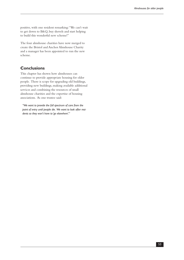positive, with one resident remarking: "We can't wait to get down to B&Q, buy shovels and start helping to build this wonderful new scheme!"

The four almshouse charities have now merged to create the Bristol and Anchor Almshouse Charity and a manager has been appointed to run the new scheme.

#### **Conclusions**

This chapter has shown how almshouses can continue to provide appropriate housing for older people. There is scope for upgrading old buildings, providing new buildings, making available additional services and combining the resources of small almshouse charities and the expertise of housing associations. As one trustee said:

*"We want to provide the full spectrum of care from the point of entry until people die. We want to look after residents so they won't have to 'go elsewhere'."*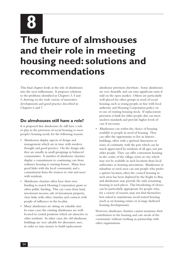**8**

# **The future of almshouses and their role in meeting housing need: solutions and recommendations**

This final chapter looks at the role of almshouses into the next millennium. It proposes solutions to the problems identified in Chapters 3, 4 and 5, drawing on the wide variety of innovative developments and good practice described in Chapters 6 and 7.

#### **Do almshouses still have a role?**

It is proposed that almshouses do still have a role to play in the provision of social housing to meet people's housing needs, for the following reasons:

- • Almshouses display aspects of design and management which are in tune with modern thought and good practice. On the design side, they are usually in small groupings in balanced communities. A number of almshouse charities display a commitment to continuing care from ordinary housing to nursing homes. Many have good links with the local community and a commitment from the trustees to visit and meet with residents.
- Almshouse charities often have their own funding to match Housing Corporation grant or other public funding. This can come from land, investment income, sale of investment property, close links with other charities and contacts with people of influence in the locality.
- Many almshouses are sitting on valuable sites. In some cases the existing almshouses are welllocated in central positions which are attractive to older residents. In other cases, the old almshouse buildings are very saleable for alternative uses, in order to raise money to build replacement

almshouse provision elsewhere. Some almshouses are very desirable and can raise significant sums if sold on the open market. Others are particularly well-placed for other groups in need of social housing, such as young people, in line with local authority and Housing Corporation policy on re-use of existing housing stock. If replacement provision is built for older people, this can meet modern standards and provide higher levels of care if necessary.

Almshouses can widen the choice of housing available to people in need of housing. They can offer the opportunity to live in historic buildings, often with a spiritual dimension or sense of continuity with the past which can be much appreciated by residents of all ages, not just older people. They can offer convenient housing in the centre of the village, town or city, which may not be available in such locations from local authorities or housing associations. Almshouses in suburban or rural areas can suit people who prefer a quieter location; often the council housing in such areas has been depleted by the Right to Buy, and almshouses may provide the only remaining housing in such places. This broadening of choice can be particularly appropriate for people who, for a variety of reasons, may not find themselves best suited to mainstream social rented housing (such as on housing estates or in large sheltered housing developments).

However, almshouse charities cannot maximise their contribution to the housing and care needs of the community without working in partnership with other organisations.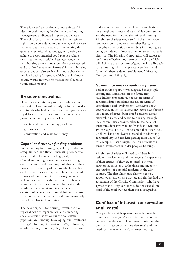There is a need to continue to move forward in ideas on both housing development and housing management, as discussed in previous chapters. The lack of security of tenure and other residents' rights can be considered to disadvantage almshouse residents, but there are ways of ameliorating this generally technical disadvantage, by agreeing to adhere to recommended good practice where tenancies are not possible. Leasing arrangements with housing associations allows the use of assured and shorthold tenancies. Partnerships with housing associations can also enable almshouse charities to provide housing for groups which the almshouse charity would not wish to manage itself, such as young single people.

## **Broader constraints**

However, the continuing role of almshouses into the next millennium will be subject to the broader constraints which affect them and their partners and regulators as much, if not more, than other small providers of housing and social care:

- • capital and revenue funding problems
- governance issues
- conservation and value for money.

#### *Capital and revenue funding problems*

Public funding for housing capital expenditure is always limited, and there is increasing competition for scarce development funding (Best, 1997). Central and local government priorities change over time, and almshouses may not always fit these priorities for a variety of reasons which have been explored in previous chapters. These may include security of tenure and style of management, as well as location or condition of stock. There are a number of discussions taking place within the almshouse movement and its members on the question of licences, and some debate on the group structure of charities where almshouses form only a part of the charitable operations.

The new emphasis for housing investment is on regional policies, regeneration and combating social exclusion, as set out in the consultation paper on RSL funding 'Developing our investment strategy' (Housing Corporation, 1999). However, almshouses may fit other policy objectives set out

in the consultation paper, such as the emphasis on local neighbourhoods and sustainable communities, and the need for the provision of rural housing. Almshouse charities may also find that their lower rent levels, compared to some other RSLs, will strengthen their position when bids for funding are being considered. However, the document makes it clear that The Housing Corporation will expect to see "more effective long-term partnerships which will facilitate the provision of good quality affordable social housing which people want to live in and for which there is demonstrable need" (Housing Corporation, 1999, p 1).

#### *Governance and accountability issues*

Earlier in the report, it was suggested that people coming into almshouses in the future may have higher expectations, not just in terms of accommodation standards but also in terms of consultation and involvement. Concerns about governance in the social housing sector have focused on a range of issues, from broad concerns about citizenship rights and access to housing through local community accountability to the detail of tenant/resident involvement (Marsh and Mullins, 1997; Malpass, 1997). It is accepted that other social landlords have not always succeeded in addressing accountability and resident participation issues (see, for example, Riseborough, 1997 on difficulties in tenant involvement in older people's housing).

Almshouse charities will need to address both resident involvement and the range and experience of their trustees if they are to satisfy potential partners (such as local authorities) and meet the expectations of potential residents in the 21st century. The first almshouse charity has now appointed a resident as a trustee, and this has had the agreement of the Charity Commission, who have agreed that as long as residents do not exceed one third of the total trustees then this is acceptable.

# **Conflicts of interest: conservation at all costs?**

One problem which appears almost impossible to resolve to everyone's satisfaction is the conflict between the demands of conservationists (and the costs which accompany these demands) and the need for adequate, value-for-money housing.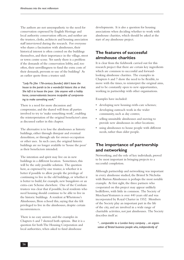The authors are not unsympathetic to the need for conservation expressed by English Heritage and local authority conservation officers, and neither are the trustees, clerks, architects and housing association staff interviewed during the research. For everyone who shares a fascination with almshouses, their historical interest is often centred on the buildings themselves, and their importance in the village, street or town centre scene. Yet surely there is a problem if the demands of the conservation lobby, and, too often, their unwillingness to fund the extra costs of their demands, prevents re-use of the building? As an earlier quote from a trustee said:

*"Lady Flo [the 17th-century founder] didn't leave the house to the parish to be a wonderful historic this or that. She left it to house the poor. Like anyone with a hobby horse, conservationists become incapable of compromising to make something work."*

There is a need for more discussion and compromise, and the shared will from all parties involved to try to 'make something work', enabling the reinterpretation of the original benefactor's aims as discussed earlier in this chapter.

The alternative is to lose the almshouses as historic buildings, either through disrepair and eventual demolition, or through sale for owner-occupation or other uses. In such cases, the original historic buildings are no longer available to 'house the poor' as their benefactors intended.

The intention and spirit may live on in new buildings in a different location. Sometimes, this will be the only possible solution. The question here, as expressed by one trustee, is whether it is better if possible to allow people the privilege of continuing to live in the old buildings, or whether it is better to build, for example, new bungalows or an extra-care Scheme elsewhere. One of the Corsham trustees was clear that if possible, local residents who need housing should continue to be able to live in the historic buildings. A resident at Whetstone's Almshouses, Ilton echoed this, saying that she felt privileged to live in the almshouses, despite certain inconveniences.

There is no easy answer, and the examples in Chapters 6 and 7 showed both options. But it is a question for both The Housing Corporation and local authorities, when asked to fund almshouse

developments. It is also a question for housing associations when deciding whether to work with almshouse charities, which should be asked at the start of *any* almshouse project.

#### **The features of successful almshouse charities**

It is clear from the fieldwork carried out for this research project that there are certain key ingredients which are common to successful and forwardlooking almshouse charities. The examples in Chapters 6 and 7 show the need to be flexible, to move with the times, to reinterpret the original aims, and to be constantly open to new opportunities, working in partnership with other organisations.

Examples have included:

- • developing new housing-with-care schemes;
- • developing outreach work in the wider community, such as day centres;
- • selling unsuitable almshouses and moving to provide new almshouses in other locations;
- using almshouses to house people with different needs, rather than older people.

#### **The importance of partnership and networking**

Networking, and the role of key individuals, proved to be most important in bringing projects to a successful completion.

Although partnership and networking was important in every almshouse studied, the Bristol St Nicholas with Burton Almshouses is perhaps the most notable example. At first sight, the three partners who cooperated on this project may appear unlikely bedfellows, with little in common. The Society of Merchant Venturers is over 440 years old and was incorporated by Royal Charter in 1552. Members of the Society play an important part in the life of the city, and are involved in a wide range of charitable activities, not just almshouses. The Society describes itself as:

*"... comparable to a London livery company ... an organisation of Bristol business people who, independently of*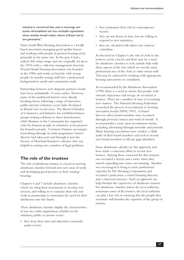*industrial or commercial bias, seek to encourage and sustain old-established and new charitable organisations whose activities benefit today's citizens of Bristol and future generations."*

Solon South West Housing Association is a locally based association managing good quality homes and working with people in greatest housing need, primarily in the inner city. In the past, it had a radical, 'left-wing' image and was originally set up in the 1970s with a collective management structure. Priority Youth Housing Association was founded in the 1980s and works exclusively with young people; its (mostly young) staff have a professional background in youth and community work.

Partnership between such disparate partners would have been unthinkable 10 years earlier. However, many of the traditional barriers were already breaking down, following a range of innovative public/private/voluntary sector links developed in Bristol over recent years. The Bristol Chamber of Commerce and Initiative has established liaison groups seeking solutions to street homelessness, while Business in the Community has organised visits for business people to voluntary sector projects for homeless people. Common Purpose encourages networking through its study programme: Solon's director had taken part and through it met the Society of Merchant Venturers' solicitor, who was helpful in sorting out a number of legal problems.

#### **The role of the trustees**

The role of almshouse trustees is crucial in moving almshouse charities forward into new areas of work and developing good practice in their existing housing.

Chapters 6 and 7 include almshouse charities which are using their investments to develop new services, and willing to re-examine their role and work in partnership to reinterpret the need for their almshouses into the future.

These almshouse charities display the characteristics of any successful organisation, whether in the voluntary, public or private sector:

• they keep their aims and objectives constantly under review;

- they reinterpret their role in contemporary society;
- they are not frozen in time, but are willing to respond to new initiatives;
- they are calculated risk-takers, not cautious custodians.

As discussed in Chapter 4, the role of clerk to the trustees can be crucial, and there may be a need for almshouse charities to seek outside help with those aspects of the role which are not the main professional area of the clerk or other senior staff. This may be achieved by working with appropriate housing associations or consultants.

As recommended by the Almshouse Association (1998), there is a need to ensure that people with relevant experience and energy are recruited as trustees. There are a number of ways of recruiting new trustees. The National Housing Federation researched the process of recruitment to housing association boards (NFH, 1997). It found that too often, board members were recruited through personal contact and word of mouth. It recommended a more open recruitment system, including advertising through networks and journals. Many housing associations now conduct a 'skills audit' of their board members and seek to recruit new board members to fill any gaps identified.

Some almshouses already use this approach, and have made a conscious effort to recruit new trustees. Among those contacted for this research, one recruited a doctor and a nurse when they started expanding into extra-care housing. Another was encouraged to bring in more professional expertise by The Housing Corporation, and recruited a policeman, a retired housing director, and a chartered surveyor. Such an approach can help broaden the experience of almshouse trustees. For almshouse charities where the local authority nominates some of the trustees, the local authority can play a key role in ensuring that the people they nominate will broaden the expertise of the group of trustees.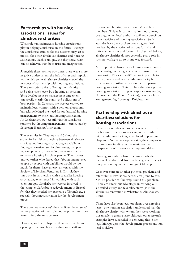## **Partnerships with housing associations: issues for almshouse charities**

What role can mainstream housing associations play in helping almshouses in the future? Perhaps the almshouses studied for this research may act as models for other almshouse charities and housing associations. Each is unique, and they show what can be achieved with both trust and imagination.

Alongside these positive outcomes, there was a more negative undercurrent: the lack of trust and suspicion with which some almshouse charities viewed the prospect of partnership with housing associations. There was often a fear of losing their identity and being 'taken over' by a housing association. Yet a development or management agreement can specify clearly the rights and obligations of both parties. In Corsham, the trustees wanted to maintain local control, with a veto on allocations, but acknowledged the need for professional housing management by their local housing association. At Cheltenham, trustees still visit the almshouse residents but housing management is carried out by Sovereign Housing Association.

The examples in Chapters 6 and 7 show the scope for fruitful partnerships between almshouse charities and housing associations, especially in finding alternative uses for almshouses, complex redevelopments, or moves into new areas such as extra-care housing for older people. The trustees quoted earlier who feared that "Young unemployed people or people with disabilities would be too much for them" have an easy answer: as with the Society of Merchant Venturers in Bristol, they can work in partnership with a specialist housing association, experienced in working with such client groups. Similarly, the trustees involved in the complex St Ambrose redevelopment in Bristol felt that they needed the expertise of Brunelcare, a specialist housing association for the development process.

These are not 'takeovers': they facilitate the trustees' reinterpretation of their role, and help them to move forward into the next century.

However, for that to happen, there needs to be an opening up of links between almshouse staff and

trustees, and housing association staff and board members. This reflects the situation not so many years ago when local authority staff and councillors were suspicious of housing associations. Such attitudes have been broken down a good deal, not least by the creation of various formal and informal networks and forums. As observed before, almshouse charities do not generally play a role in such networks; to do so is one way forward.

A final point on liaison with housing associations is the advantage of being able to access loan finance more easily. This can be difficult or impossible for a small, poorly endowed almshouse charity but may become possible by working with a partner housing association. This can be either through the housing association acting as corporate trustees (eg, Hanover and the Flood Charities), or with a lease arrangement (eg, Sovereign, Knightstone).

### **Partnership with almshouse charities: solutions for housing associations**

There are a number of problems which can arise for housing associations working in partnership with almshouse charities, as explored in previous chapters. On the development side, the complexity of almshouse funding and (sometimes) the inexperience of trustees can compound delays.

Housing associations have to consider whether they will be able to deliver on time, given the strict Corporation requirements on grant take-up.

Cost over-runs are another potential problem, and refurbishment works are particularly prone to this. Yet it is possible to find ways round this problem. There are enormous advantages in carrying out a detailed survey and feasibility study (as in the almshouse renovation at Whetstone's Almshouses, Ilton).

There have also been legal problems over agreeing leases; one housing association understood that the almshouse charity with whom they were working was unable to grant a lease, although other research examples have succeeded in achieving this. Such legal hiccups upset the development process and can lead to delays.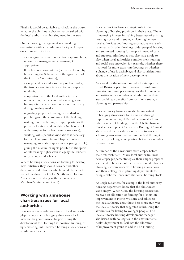Finally, it would be advisable to check at the outset whether the almshouse charity has consulted with the local authority on housing need in the area.

On the housing management side, working successfully with an almshouse charity will depend on a number of factors:

- • a clear agreement as to respective responsibilities, set out in a management agreement, if appropriate;
- flexible allocations criteria (perhaps achieved by broadening the Scheme with the agreement of the Charity Commission);
- clear procedures, and sensitivity on both sides, if the trustees wish to retain a veto on prospective residents;
- • cooperation with the local authority over nominations, transfers, mutual exchanges and finding alternative accommodation if necessary during building works;
- • upgrading property to as high a standard as possible, given the constraints of the building;
- • making sure that lettings are appropriate for the property location and condition (such as people with transport for isolated rural almshouses);
- • working with specialist associations if necessary for the client group (as in Chapter 5, where the managing association specialises in young people);
- • giving the maximum rights possible in the spirit of full tenancy rights, even if legally the residents only occupy under licence.

Where housing associations are looking to develop new initiatives, they should consider whether there are any almshouses which could play a part (as did the director of Solon South West Housing Association in working with the Society of Merchant Venturers in Bristol).

## **Working with almshouse charities: issues for local authorities**

In many of the almshouses studied, local authorities played a key role in bringing almshouses back into use: by grant finance, by prioritising the development for Housing Corporation funding, or by facilitating links between housing associations and almshouse charities.

Local authorities have a strategic role in the planning of housing provision in their areas. There is increasing interest in making better use of existing housing stock and in strategic planning between local authorities and housing associations over such issues as hard-to-let dwellings, older people's housing and supported housing for people in need of care and support. Almshouses may also have a role to play when local authorities consider their housing and social care strategies: for example, whether there is a need for more extra-care housing, or whether a change of use is desirable; and also considerations about the location of new developments.

As a result of the research on which this report is based, Bristol is planning a review of almshouse provision to develop a strategy for the future; other authorities with a number of almshouses in their area could reap benefits from such joint strategic planning and partnership.

Local authority finance can also be important in bringing almshouses back into use, through improvement grants, SHG and occasionally from other sources of funding, as in the Cheltenham and Corsham examples. Cheltenham Borough Council also advised the Bucklehaven trustees to work with a housing association partner, and to find the right partner by holding a competition between a number of associations.

A number of the almshouses were empty before their refurbishment. Many local authorities now have empty property strategies; their empty property staff need to be aware of the existence of almshouses. Housing staff can work with housing associations and their colleagues in planning departments to bring almshouses back into the social housing stock.

At Leigh Delamere, for example, the local authority housing department knew that the almshouses were empty. When CHS, the housing association, received an allocation of funding for a 'short-life' improvement in North Wiltshire and talked to the local authority about how best to use it, it was the local authority that suggested refurbishing the almshouses for letting to younger people. The local authority housing development manager also liaised with colleagues in the environmental health department to facilitate the allocation of improvement grant to add to The Housing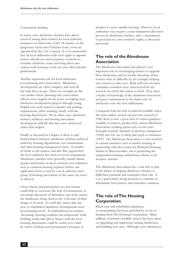#### Corporation funding.

In many cases, almshouse charities have places reserved among their trustees for local authority nominees: in Gloucester, of the 18 trustees on the progressive Gloucester Charities Trust, seven are appointed by the City Council. It is recommended that all local authorities with such rights to appoint trustees should use such nominees creatively to revitalise almshouse trusts and bring them into contact with housing, social care and other relevant professionals.

Another important role for local authorities is in planning and conservation. Almshouse developments are often complex, and need all the help they can get. There are examples in the case studies where planning and conservation officers were singled out for praise in helping steer almshouse development projects through, being helpful over such matters as density and parking requirements (often working closely with the housing department). Yet in other cases, almshouse trustees, architects and housing association development staff felt that they were obstructed rather than helped.

Finally, as discussed in Chapter 4, there is only limited liaison between almshouse charities and local authority housing departments over nominations and other housing management issues. A number of clerks to the trustees said that they approached the local authority but rarely received nominations. Almshouse charities were generally outside liaison groups and forums set up to promote new initiatives such as common housing registers (where one application form is used by a local authority and a group of housing associations in the same city, town or district).

Closer liaison and participation in such forums could help to overcome the lack of nominations, or encourage discussion of alternative uses if the reason for almshouses being 'hard-to-let' is because of their design or location. It could also ensure that any new or refurbished almshouse developments meet local housing needs. If refurbishment necessitates 'decanting' (moving residents out temporarily while building works take place), liaison with the local housing department could be useful, as it could be where residents need permanent exchanges or

transfers to more suitable housing. However, local authorities may require a more transparent allocation process by almshouse charities, and a commitment to good practice over residents' rights, as discussed previously.

### **The role of the Almshouse Association**

The Almshouse Association has played a very important role in encouraging trustees to upgrade their almshouses, and in 'trouble-shooting' where trustees were in difficulty by, for example, helping new trustees to take over. Both staff and executive committee members were interviewed for the research on which this report is based. They share a depth of knowledge of the almshouse movement, and great commitment to the future role of almshouses into the next millennium.

Compared with the lack of material available when the main author carried out previous research in 1982, there is now a great deal of written guidance available to trustees, produced by various Almshouse Association working parties over recent years. Examples include *Standards of almshouse management* (1998) and *The care of elderly frail people in almshouses*  (1997). The Almshouse Association is now involved in various initiatives such as warden training in partnership with the Centre for Sheltered Housing Studies in Worcestershire, and is promoting the independent housing ombudsman scheme to its member charities.

The Almshouse Association has a vital role to play in the future, in helping almshouse charities to fulfil their potential and reinterpret their role. It is in a particularly strong position to continue to disseminate best practice and innovative solutions.

### **The role of The Housing Corporation**

Much new and refurbished almshouse accommodation has been provided by access to funding from The Housing Corporation. Many millions of pounds of public money has been spent on upgrading and improving existing almshouses, and building new ones. Although some almshouses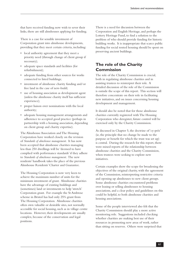that have received funding now wish to sever their links, there are still almshouses applying for funding.

There is a case for sensible investment of Corporation grant into almshouse developments, providing that they meet certain criteria, including:

- • local authority agreement that they meet a priority need (through change of client group if necessary);
- • adequate space standards and facilities (for refurbishment);
- • adequate funding from other sources for works connected to listed buildings;
- • investment of almshouse charity funding and/or free land in the case of new-build;
- use of housing association as development agent (unless the almshouse charity itself has sufficient experience);
- • proper liaison over nominations with the local authority;
- • adequate housing management arrangements and adherence to accepted good practice (perhaps in partnership with a housing association, depending on client group and charity expertise).

The Almshouse Association and The Housing Corporation have worked closely on the revision of *Standards of almshouse management*. It has now been accepted that almshouse charities managing less than 250 dwellings will be 'deemed to have complied with performance standards' if they adhere to *Standards of almshouse management*. The new residents' handbook takes the place of the previous Almshouse Residents' Charter and Guarantee.

The Housing Corporation is now very keen to achieve the maximum number of units for the minimum investment of grant. Almshouse charities have the advantage of existing buildings and (sometimes) land or investments to help 'stretch' Corporation grant. For example the St Ambrose scheme in Bristol has had only 25% grant from The Housing Corporation. Almshouse charities often own valuable or desirable sites, not normally accessible for social housing, such as in village centre locations. However, their developments are usually complex, because of the conservation and legal positions.

There is a need for discussion between the Corporation and English Heritage, and perhaps the Lottery Heritage Fund, to find a solution to the problem of who should provide funding for historic building works. It is inappropriate that scarce public funding for social rented housing should be spent on preserving ancient buildings.

## **The role of the Charity Commission**

The role of the Charity Commission is crucial, both in regulating almshouse charities and in assisting trustees to reinterpret their role. A detailed discussion of the role of the Commission is outside the scope of this report. This section will therefore concentrate on their role in facilitating new initiatives, and on issues concerning housing development and management.

It should also be noted that for those almshouse charities currently registered with The Housing Corporation who deregister, future control will be exercised only by the Charity Commission.

As discussed in Chapter 5, the doctrine of 'cy-près' (ie, the principle that no change be made to the purpose or benefit for which the trust was set up) is central. During the research for this report, there were mixed reports of the relationship between almshouse charities and the Charity Commission, when trustees were seeking to explore new initiatives.

Certain examples show the scope for broadening the objectives of the original charity, with the agreement of the Commission, reinterpreting restrictive criteria and opening up almshouses to new client groups. Some almshouse charities encountered problems over leasing or selling almshouses to housing associations, and a clear policy and guidelines on this could be helpful, to both almshouse charities and housing associations.

Some of the people interviewed also felt that the Charity Commission should play a more active monitoring role. Suggestions included checking whether charities are making best use of their resources in promoting new areas of work, rather than sitting on reserves. Others were surprised that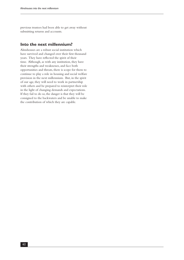previous trustees had been able to get away without submitting returns and accounts.

#### **Into the next millennium?**

Almshouses are a robust social institution which have survived and changed over their first thousand years. They have reflected the spirit of their time. Although, as with any institution, they have their strengths and weaknesses, and face both opportunities and threats, there is scope for them to continue to play a role in housing and social welfare provision in the next millennium. But, in the spirit of our age, they will need to work in partnership with others and be prepared to reinterpret their role in the light of changing demands and expectations. If they fail to do so, the danger is that they will be consigned to the backwaters and be unable to make the contribution of which they are capable.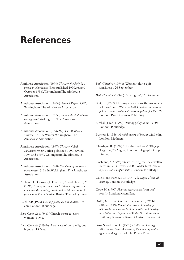# **References**

- Almhouse Association (1994) *The care of elderly frail people in almshouses* (first published 1990, revised October 1994), Wokingham: The Almhouse Association.
- Almshouse Association (1995a) *Annual Report 1995*, Wokingham: The Almshouse Association.
- Almshouse Association (1995b) *Standards of almshouse management*, Wokingham: The Almshouse Association.
- Almshouse Association (1996/97) *The Almshouses Gazette*, no 165, Winter, Wokingham: The Almshouse Association.
- Almshouse Association (1997) *The care of frail almshouse residents* (first published 1990, revised 1994 and 1997), Wokingham: The Almshouse Association.
- Almshouse Association (1998) *Standards of almshouse management*, 3rd edn, Wokingham: The Almshouse Association.
- Arblaster, L., Conway, J., Foreman, A. and Hawtin, M. (1996) *Asking the impossible? Inter-agency working to address the housing, health and social care needs of people in ordinary housing*, Bristol: The Policy Press.
- Balchin,P. (1995) *Housing policy, an introduction*, 3rd edn, London: Routledge.
- *Bath Chronicle* (1994a) 'Church threat to evict women', 6 May.
- *Bath Chronicle* (1994b) 'A sad case of petty religious bigotry', 13 May.
- *Bath Chronicle* (1994c) 'Women told to quit almshouse', 26 September.
- *Bath Chronicle* (1994d) 'Moving on', 16 December.
- Best, R. (1997) 'Housing associations: the sustainable solution?', in P.Williams (ed) *Directions in housing policy: Towards sustainable housing policies for the UK*, London: Paul Chapman Publishing.
- Birchall, J. (ed) (1992) *Housing policy in the 1990s*, London: Routledge.
- Burnett, J. (1986) *A social history of housing*, 2nd edn, London: Methuen.
- Chesshyre, R. (1997) 'The alms industry', *Telegraph Magazine*, 23 August, London: Telegraph Group Limited.
- Cochrane, A. (1994) 'Restructuring the local welfare state', in R. Burrows and B. Loader (eds) *Towards a post-Fordist welfare state?*, London: Routledge.
- Cole, I. and Furbey, R. (1994) *The eclipse of council housing*, London: Routledge.
- Cope, H. (1990) *Housing associations: Policy and practice*, London: Macmillan.
- DoE (Department of the Environment)/Welsh Office (1979) *Report of a survey of housing for old people provided by local authorities and housing associations in England and Wales*, Social Services Buildings Research Team of Oxford Polytechnic.
- Goss, S. and Kent, C. (1995) *Health and housing: Working together? A review of the extent of multiagency working*, Bristol: The Policy Press.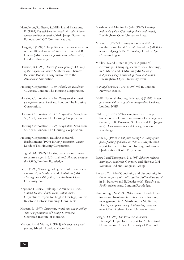- Hambleton, R., Essex, S., Mills, L.and Razzaque, K. (1997*) The collaborative council: A study of interagency working in practice*, York: Joseph Rowntree Foundation/LGC Communications.
- Hoggett, P. (1994) 'The politics of the modernisation of the UK welfare state', in R. Burrows and B. Loader (eds) *Towards a post-Fordist welfare state?*, London: Routledge.
- Howson, B. (1993) *Houses of noble poverty: A history of the English almshouse*, Sunbury-on-Thames: Bellevue Books, in conjunction with the Almshouse Association.
- Housing Corporation (1989) *Almshouse Residents' Guarantee*, London: The Housing Corporation.
- Housing Corporation (1996) *De-registration criteria for registered social landlords*, London: The Housing Corporation.
- Housing Corporation (1997) *Corporation News*, Issue 58, April, London: The Housing Corporation.
- Housing Corporation (1999) *Corporation News*, Issue 58, April, London: The Housing Corporation.
- Housing Corporation/Building Research Establishment (1979) *Housing association tenants*, London: The Housing Corporation.
- Langstaff, M. (1992) 'Housing associations: a move to centre stage', in J. Birchall (ed) *Housing policy in the 1990s*, London: Routledge.
- Lee, P. (1998) 'Housing policy, citizenship and social exclusion', in A. Marsh and D. Mullins (eds) *Housing and public policy*, Buckingham: Open University Press.
- Keystone Historic Buildings Consultants (1995) *Church House, Church Road, Yatton, Avon*, Unpublished report for English Heritage, Exeter: Keystone Historic Buildings Consultants.
- Malpass, P. (1997) *Ownership, control and accountability: The new governamce of housing*, Coventry: Chartered Institute of Housing.
- Malpass, P. and Murie, A. (1994) *Housing policy and practice*, 4th edn, London: Macmillan.
- Marsh, A. and Mullins, D. (eds) (1997) *Housing and public policy: Citizenship, choice and control*, Buckingham: Open University Press.
- Means, R. (1997) 'Housing options in 2020: a suitable home for all?', in M. Evandrou (ed) *Baby boomers: Ageing in the 21st century*, London: Age Concern England.
- Mullins, D.and Niner, P. (1997) 'A prize of citizenship? Changing access to social housing', in A. Marsh and D. Mullins (eds) *Housing and public policy: Citizenship, choice and control*, Buckingham: Open University Press.
- *Municipal Yearbook 1998*, (1998) vol II, London: Newman Books.
- NHF (National Housing Federation) (1997) *Action for accountability. A guide for independent landlords*, London: NHF.
- Oldman, C. (1997) 'Working together to help homeless people: an examination of inter-agency themes', in R. Burrows, N. Pleace and D. Quilgars (eds) *Homelessness and social policy*, London: Routledge.
- Pannell, J. (1982) *What price charity? A study of the public funding of almshouse charities*, Unpublished report for the Institute of Housing Professional Qualification/Bristol Polytechnic.
- Parry, I. and Thompson, L. (1993) *Effective sheltered housing: A handbook*, Coventry and Harlow: IoH (Services) Ltd and Longman Group.
- Pierson, C. (1994) 'Continuity and discontinuity in the emergence of the "post-Fordist" welfare state', in R. Burrows and B. Loader (eds) *Towards a post-Fordist welfare state?*, London: Routledge.
- Riseborough, M. (1997) 'More control and choice for users? Involving tenants in social housing management', in A. Marsh and D. Mullins (eds) *Housing and public policy: Citizenship, choice and control*, Buckingham: Open University Press.
- Savage, D. (1995) *The Penrose Almshouses, Barnstaple*, Unpublished report for Architectural Conservation Course, University of Plymouth.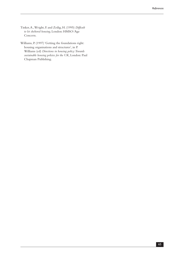- Tinker, A., Wright, F. and Zeilig, H. (1995) *Difficult to let sheltered housing*, London: HMSO/Age Concern.
- Williams, P. (1997) 'Getting the foundations right: housing organisations and structures', in P. Williams (ed) *Directions in housing policy: Towards sustainable housing policies for the UK*, London: Paul Chapman Publishing.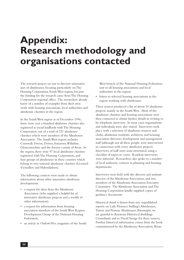# **Appendix: Research methodology and organisations contacted**

The research project set out to discover innovative uses of almshouses, focusing particularly on The Housing Corporation South West region, because the funding for the research came from The Housing Corporation regional office. The researchers already knew of a number of examples from their own work with housing associations, local authorities and almshouse charities in the region.

In the South West region as of December 1996, there were over a hundred almhouse charities also registered as social landlords with The Housing Corporation, out of a total of 237 almshouse charities which were members of the Almshouse Association. The South West region includes Cornwall, Devon, Dorset, Somerset, Wiltshire, Gloucestershire and the former county of Avon. In the region, there were 97 local almshouse charities registered with The Housing Corporation, and four groups of almshouses in these counties which belong to two national almshouse charities (Licensed Victuallers and Haberdashers).

The following contacts were made to obtain information about other innovative almshouse developments:

- • a request for ideas from the Almshouse Association (who supplied a helpful list of innovative almshouse projects and a wealth of other information);
- • a request for information from housing association members of the South West Region Development Group of the National Housing Federation;
- • an article in *Outlook West*, magazine of the South

West branch of the National Housing Federation, sent to all housing associations and local authorities in the region;

• letters to selected housing associations in the region working with almshouses.

These sources produced a list of about 30 almshouse projects, mainly in the South West. Most of the almshouse charities and housing associations were then contacted to obtain further details in writing or by telephone interview. In most cases organisations and individuals were also visited. Interviews took place with a selection of almshouse trustees and clerks, almshouse residents, architects, and housing association directors, development and management staff (although not all these people were interviewed in connection with every almshouse project). Interviews of staff were semi-structured, using a checklist of topics to cover. Resident interviews were informal. Researchers also spoke to a number of local authority contacts in planning and housing departments.

Interviews were held with the director and assistant director of the Almshouse Association, and two members of the Almshouse Association Executive Committee. The Almshouse Association and The Housing Corporation kindly supplied copies of guidance documents.

Historical detail is drawn from two unpublished reports on Lady Florence Stalling's Almshouses, Yatton and Penrose Almshouses, Barnstaple; we are grateful to Keystone Historical Buildings Consultants and to David Savage for these sources. Further historical information comes from the book commissioned by the Almshouse Association, Brian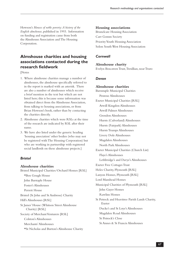Howson's *Houses of noble poverty: A history of the English almshouse*, published in 1993. Information on funding and registration came from both the Almshouse Association and The Housing Corporation.

# **Almshouse charities and housing associations contacted during the research fieldwork**

[Notes

- 1. Where almshouse charities manage a number of almshouses, the almshouse specifically referred to in the report is marked with an asterisk. There are also a number of almshouses which receive a brief mention in the text but which are not listed here; this is because some information was obtained direct from the Almshouse Association, from talking to housing associations, or from Brian Howson's book, rather than by contacting the charities directly.
- 2. Almshouse charities which were RSLs at the time of the research are indicated by RSL after their name.
- 3. We have also listed under the generic heading 'housing association' other bodies (who may not be registered with The Housing Corporation) but who are working in partnership with registered social landlords on these almshouse projects.]

## *Bristol*

## **Almshouse charities**

Bristol Municipal Charities/Orchard Homes [RSL] \*Ben Gough House John Barstaple House Foster's Almshouses Perrett House Bristol (St John and St Ambrose) Charity Hill's Almshouses [RSL] St James' House (Whitson Street Almshouse Charity) [RSL] Society of Merchant Venturers [RSL] Colston's Almshouses Merchants' Almshouses \*St Nicholas and Burton's Almshouse Charity

### **Housing associations**

Brunelcare Housing Association Carr Gomm Society Priority Youth Housing Association Solon South West Housing Association

# *Cornwall*

#### **Almshouse charity**

Evelyn Boscawen Trust, Tresillian, near Truro

# *Devon*

**Almshouse charities** Barnstaple Municipal Charities Penrose Almshouses Exeter Municipal Charities [RSL] Atwill Kingdon Almshouses Atwill Palmer Almshouses Grendon Almshouses Hursts (Culverland) Almshouses Hursts (Fairpark) Almshouses Hursts Trumps Almshouses Livery Dole Almshouses Magdalen Almshouses North Park Almshouses Exeter Municipal Charities (Church List) Flaye's Almshouses Lethbridge's and Davye's Almshouses Exeter Free Cottages Trust Heles Charity, Plymouth [RSL] Lanyon Homes, Plymouth [RSL] Lord Mamhead Homes Municipal Charities of Plymouth [RSL] John Gayer Homes Rawlins Homes St Petrock and Heavitree Parish Lands Charity, Exeter Ducke's and St Loye's Almshouses Magdalen Road Almshouses St Petrock's Close St Annes & St Francis Almshouses